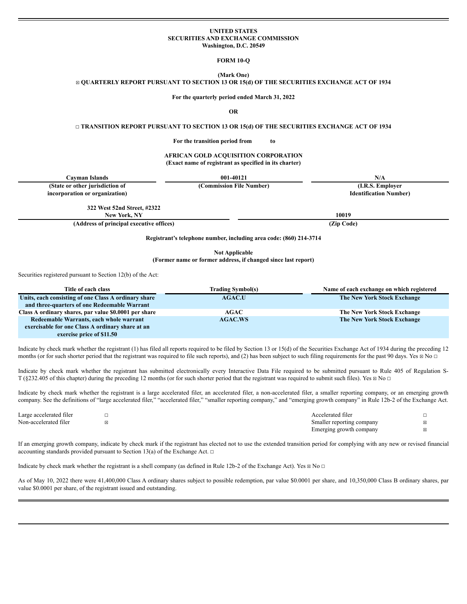## **UNITED STATES SECURITIES AND EXCHANGE COMMISSION Washington, D.C. 20549**

**FORM 10-Q**

**(Mark One)**

☒ **QUARTERLY REPORT PURSUANT TO SECTION 13 OR 15(d) OF THE SECURITIES EXCHANGE ACT OF 1934**

**For the quarterly period ended March 31, 2022**

**OR**

☐ **TRANSITION REPORT PURSUANT TO SECTION 13 OR 15(d) OF THE SECURITIES EXCHANGE ACT OF 1934**

**For the transition period from to**

**AFRICAN GOLD ACQUISITION CORPORATION (Exact name of registrant as specified in its charter)**

| Cavman Islands                           | 001-40121                | N/A                           |  |  |  |  |  |
|------------------------------------------|--------------------------|-------------------------------|--|--|--|--|--|
| (State or other jurisdiction of          | (Commission File Number) | (I.R.S. Employer)             |  |  |  |  |  |
| incorporation or organization)           |                          | <b>Identification Number)</b> |  |  |  |  |  |
| 322 West 52nd Street, #2322              |                          |                               |  |  |  |  |  |
| <b>New York, NY</b>                      |                          | 10019                         |  |  |  |  |  |
| (Address of principal executive offices) |                          | (Zip Code)                    |  |  |  |  |  |

**Registrant's telephone number, including area code: (860) 214-3714**

**Not Applicable (Former name or former address, if changed since last report)**

Securities registered pursuant to Section 12(b) of the Act:

| Title of each class                                   | <b>Trading Symbol(s)</b> | Name of each exchange on which registered |
|-------------------------------------------------------|--------------------------|-------------------------------------------|
| Units, each consisting of one Class A ordinary share  | <b>AGAC.U</b>            | <b>The New York Stock Exchange</b>        |
| and three-quarters of one Redeemable Warrant          |                          |                                           |
| Class A ordinary shares, par value \$0.0001 per share | <b>AGAC</b>              | The New York Stock Exchange               |
| Redeemable Warrants, each whole warrant               | <b>AGAC.WS</b>           | <b>The New York Stock Exchange</b>        |
| exercisable for one Class A ordinary share at an      |                          |                                           |
| exercise price of \$11.50                             |                          |                                           |

Indicate by check mark whether the registrant (1) has filed all reports required to be filed by Section 13 or 15(d) of the Securities Exchange Act of 1934 during the preceding 12 months (or for such shorter period that the registrant was required to file such reports), and (2) has been subject to such filing requirements for the past 90 days. Yes  $\boxtimes$  No  $\Box$ 

Indicate by check mark whether the registrant has submitted electronically every Interactive Data File required to be submitted pursuant to Rule 405 of Regulation S-T (§232.405 of this chapter) during the preceding 12 months (or for such shorter period that the registrant was required to submit such files). Yes ⊠ No  $\Box$ 

Indicate by check mark whether the registrant is a large accelerated filer, an accelerated filer, a non-accelerated filer, a smaller reporting company, or an emerging growth company. See the definitions of "large accelerated filer," "accelerated filer," "smaller reporting company," and "emerging growth company" in Rule 12b-2 of the Exchange Act.

| Large accelerated filer | Accelerated filer         |  |
|-------------------------|---------------------------|--|
| Non-accelerated filer   | Smaller reporting company |  |
|                         | Emerging growth company   |  |

If an emerging growth company, indicate by check mark if the registrant has elected not to use the extended transition period for complying with any new or revised financial accounting standards provided pursuant to Section 13(a) of the Exchange Act.  $□$ 

Indicate by check mark whether the registrant is a shell company (as defined in Rule 12b-2 of the Exchange Act). Yes  $\boxtimes$  No  $\Box$ 

As of May 10, 2022 there were 41,400,000 Class A ordinary shares subject to possible redemption, par value \$0.0001 per share, and 10,350,000 Class B ordinary shares, par value \$0.0001 per share, of the registrant issued and outstanding.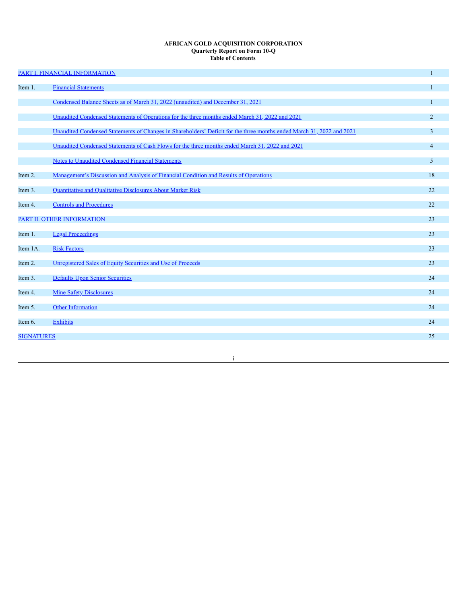#### **AFRICAN GOLD ACQUISITION CORPORATION Quarterly Report on Form 10-Q Table of Contents**

|                   | PART I. FINANCIAL INFORMATION                                                                                         | 1              |
|-------------------|-----------------------------------------------------------------------------------------------------------------------|----------------|
| Item 1.           | <b>Financial Statements</b>                                                                                           |                |
|                   | Condensed Balance Sheets as of March 31, 2022 (unaudited) and December 31, 2021                                       |                |
|                   | Unaudited Condensed Statements of Operations for the three months ended March 31, 2022 and 2021                       | $\overline{2}$ |
|                   | Unaudited Condensed Statements of Changes in Shareholders' Deficit for the three months ended March 31, 2022 and 2021 | $\overline{3}$ |
|                   | Unaudited Condensed Statements of Cash Flows for the three months ended March 31, 2022 and 2021                       | $\overline{4}$ |
|                   | Notes to Unaudited Condensed Financial Statements                                                                     | 5              |
| Item 2.           | Management's Discussion and Analysis of Financial Condition and Results of Operations                                 | 18             |
| Item 3.           | Quantitative and Qualitative Disclosures About Market Risk                                                            | 22             |
| Item 4.           | <b>Controls and Procedures</b>                                                                                        | 22             |
|                   | PART II. OTHER INFORMATION                                                                                            | 23             |
| Item 1.           | <b>Legal Proceedings</b>                                                                                              | 23             |
| Item 1A.          | <b>Risk Factors</b>                                                                                                   | 23             |
| Item 2.           | Unregistered Sales of Equity Securities and Use of Proceeds                                                           | 23             |
| Item 3.           | <b>Defaults Upon Senior Securities</b>                                                                                | 24             |
| Item 4.           | <b>Mine Safety Disclosures</b>                                                                                        | 24             |
| Item 5.           | Other Information                                                                                                     | 24             |
| Item 6.           | <b>Exhibits</b>                                                                                                       | 24             |
| <b>SIGNATURES</b> |                                                                                                                       | 25             |
|                   |                                                                                                                       |                |

i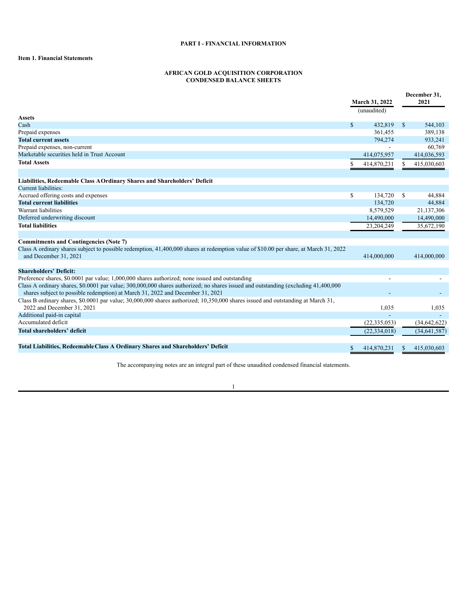# **PART I - FINANCIAL INFORMATION**

## <span id="page-2-2"></span><span id="page-2-1"></span><span id="page-2-0"></span>**Item 1. Financial Statements**

### **AFRICAN GOLD ACQUISITION CORPORATION CONDENSED BALANCE SHEETS**

|                                                                                                                                                                                                                      |              | March 31, 2022 |               | December 31,<br>2021 |
|----------------------------------------------------------------------------------------------------------------------------------------------------------------------------------------------------------------------|--------------|----------------|---------------|----------------------|
|                                                                                                                                                                                                                      |              |                |               |                      |
| <b>Assets</b>                                                                                                                                                                                                        |              | (unaudited)    |               |                      |
| Cash                                                                                                                                                                                                                 | $\mathbb{S}$ | 432,819        | $\mathbb{S}$  | 544,103              |
| Prepaid expenses                                                                                                                                                                                                     |              | 361,455        |               | 389,138              |
| <b>Total current assets</b>                                                                                                                                                                                          |              | 794,274        |               | 933,241              |
| Prepaid expenses, non-current                                                                                                                                                                                        |              |                |               | 60,769               |
| Marketable securities held in Trust Account                                                                                                                                                                          |              | 414,075,957    |               | 414,036,593          |
| <b>Total Assets</b>                                                                                                                                                                                                  |              | 414,870,231    | \$            | 415,030,603          |
|                                                                                                                                                                                                                      |              |                |               |                      |
| Liabilities, Redeemable Class AOrdinary Shares and Shareholders' Deficit                                                                                                                                             |              |                |               |                      |
| Current liabilities:                                                                                                                                                                                                 |              |                |               |                      |
| Accrued offering costs and expenses                                                                                                                                                                                  | \$           | 134,720        | <sup>\$</sup> | 44,884               |
| <b>Total current liabilities</b>                                                                                                                                                                                     |              | 134,720        |               | 44,884               |
| Warrant liabilities                                                                                                                                                                                                  |              | 8,579,529      |               | 21,137,306           |
| Deferred underwriting discount                                                                                                                                                                                       |              | 14,490,000     |               | 14,490,000           |
| <b>Total liabilities</b>                                                                                                                                                                                             |              | 23,204,249     |               | 35,672,190           |
|                                                                                                                                                                                                                      |              |                |               |                      |
| <b>Commitments and Contingencies (Note 7)</b>                                                                                                                                                                        |              |                |               |                      |
| Class A ordinary shares subject to possible redemption, 41,400,000 shares at redemption value of \$10.00 per share, at March 31, 2022<br>and December 31, 2021                                                       |              | 414,000,000    |               | 414,000,000          |
|                                                                                                                                                                                                                      |              |                |               |                      |
| <b>Shareholders' Deficit:</b>                                                                                                                                                                                        |              |                |               |                      |
| Preference shares, \$0,0001 par value; 1,000,000 shares authorized; none issued and outstanding                                                                                                                      |              |                |               |                      |
| Class A ordinary shares, \$0.0001 par value; 300,000,000 shares authorized; no shares issued and outstanding (excluding 41,400,000<br>shares subject to possible redemption) at March 31, 2022 and December 31, 2021 |              |                |               |                      |
| Class B ordinary shares, \$0.0001 par value; 30,000,000 shares authorized; 10,350,000 shares issued and outstanding at March 31,                                                                                     |              |                |               |                      |
| 2022 and December 31, 2021                                                                                                                                                                                           |              | 1,035          |               | 1,035                |
| Additional paid-in capital                                                                                                                                                                                           |              |                |               |                      |
| Accumulated deficit                                                                                                                                                                                                  |              | (22, 335, 053) |               | (34, 642, 622)       |
| Total shareholders' deficit                                                                                                                                                                                          |              | (22, 334, 018) |               | (34, 641, 587)       |
|                                                                                                                                                                                                                      |              |                |               |                      |
| <b>Total Liabilities, Redeemable Class A Ordinary Shares and Shareholders' Deficit</b>                                                                                                                               | \$           | 414,870,231    | \$            | 415,030,603          |

The accompanying notes are an integral part of these unaudited condensed financial statements.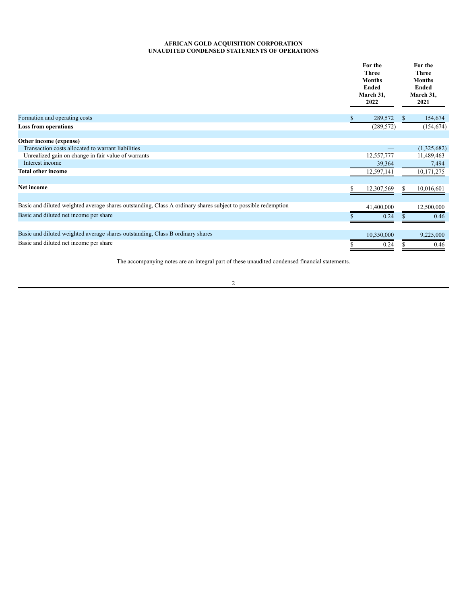## **AFRICAN GOLD ACQUISITION CORPORATION UNAUDITED CONDENSED STATEMENTS OF OPERATIONS**

<span id="page-3-0"></span>

|                                                                                                               | For the<br><b>Three</b><br><b>Months</b><br><b>Ended</b><br>March 31,<br>2022 | For the<br><b>Three</b><br><b>Months</b><br><b>Ended</b><br>March 31,<br>2021 |
|---------------------------------------------------------------------------------------------------------------|-------------------------------------------------------------------------------|-------------------------------------------------------------------------------|
| Formation and operating costs                                                                                 | 289,572<br>S                                                                  | 154,674<br>\$.                                                                |
| <b>Loss from operations</b>                                                                                   | (289, 572)                                                                    | (154, 674)                                                                    |
| Other income (expense)                                                                                        |                                                                               |                                                                               |
| Transaction costs allocated to warrant liabilities                                                            |                                                                               | (1,325,682)                                                                   |
| Unrealized gain on change in fair value of warrants                                                           | 12,557,777                                                                    | 11,489,463                                                                    |
| Interest income                                                                                               | 39,364                                                                        | 7,494                                                                         |
| <b>Total other income</b>                                                                                     | 12,597,141                                                                    | 10, 171, 275                                                                  |
| <b>Net income</b>                                                                                             | 12,307,569                                                                    | 10,016,601                                                                    |
| Basic and diluted weighted average shares outstanding, Class A ordinary shares subject to possible redemption | 41,400,000                                                                    | 12,500,000                                                                    |
| Basic and diluted net income per share                                                                        | 0.24                                                                          | 0.46                                                                          |
| Basic and diluted weighted average shares outstanding, Class B ordinary shares                                |                                                                               |                                                                               |
|                                                                                                               | 10,350,000                                                                    | 9,225,000                                                                     |
| Basic and diluted net income per share                                                                        | 0.24                                                                          | 0.46                                                                          |

The accompanying notes are an integral part of these unaudited condensed financial statements.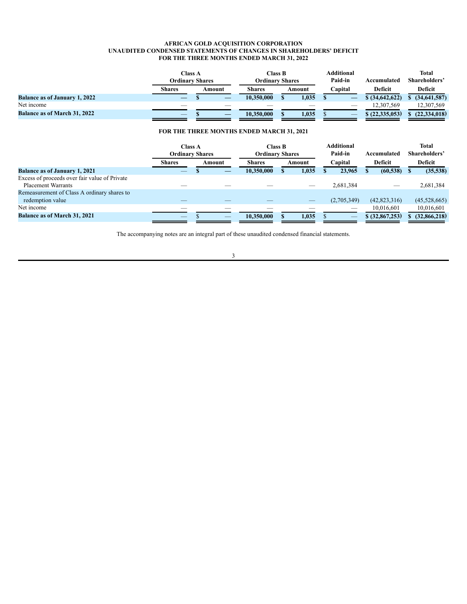## **AFRICAN GOLD ACQUISITION CORPORATION UNAUDITED CONDENSED STATEMENTS OF CHANGES IN SHAREHOLDERS' DEFICIT FOR THE THREE MONTHS ENDED MARCH 31, 2022**

<span id="page-4-0"></span>

|                                      |               | Class A<br><b>Ordinary Shares</b> |        | <b>Ordinary Shares</b> | <b>Class B</b> |       |         | <b>Additional</b><br>Paid-in | Accumulated     |         | <b>Total</b><br>Shareholders' |
|--------------------------------------|---------------|-----------------------------------|--------|------------------------|----------------|-------|---------|------------------------------|-----------------|---------|-------------------------------|
|                                      | <b>Shares</b> |                                   | Amount | <b>Shares</b>          | Amount         |       | Capital |                              | <b>Deficit</b>  | Deficit |                               |
| <b>Balance as of January 1, 2022</b> |               |                                   |        | 10.350,000             |                | 1,035 |         | —                            | \$ (34,642,622) |         | (34, 641, 587)                |
| Net income                           |               |                                   | __     |                        |                |       |         | $\overline{\phantom{a}}$     | 12.307.569      |         | 12.307.569                    |
| <b>Balance as of March 31, 2022</b>  |               |                                   |        | 10.350,000             |                | 1,035 |         | _                            | \$ (22,335,053) |         | (22.334.018)                  |

# **FOR THE THREE MONTHS ENDED MARCH 31, 2021**

|                                               | <b>Class A</b><br><b>Ordinary Shares</b> |        | <b>Ordinary Shares</b> | <b>Class B</b> |        | <b>Additional</b><br>Paid-in |                               | Accumulated     |  | <b>Total</b><br>Shareholders' |
|-----------------------------------------------|------------------------------------------|--------|------------------------|----------------|--------|------------------------------|-------------------------------|-----------------|--|-------------------------------|
|                                               | <b>Shares</b>                            | Amount | <b>Shares</b>          |                | Amount | Capital                      |                               | Deficit         |  | Deficit                       |
| <b>Balance as of January 1, 2021</b>          | —                                        |        | 10,350,000             |                | 1,035  |                              | 23,965                        | (60, 538)       |  | (35,538)                      |
| Excess of proceeds over fair value of Private |                                          |        |                        |                |        |                              |                               |                 |  |                               |
| <b>Placement Warrants</b>                     |                                          |        |                        |                |        |                              | 2,681,384                     |                 |  | 2,681,384                     |
| Remeasurement of Class A ordinary shares to   |                                          |        |                        |                |        |                              |                               |                 |  |                               |
| redemption value                              |                                          |        |                        |                |        |                              | (2,705,349)                   | (42, 823, 316)  |  | (45,528,665)                  |
| Net income                                    |                                          |        |                        |                |        |                              | $\overbrace{\phantom{12333}}$ | 10,016,601      |  | 10,016,601                    |
| <b>Balance as of March 31, 2021</b>           |                                          |        | 10.350,000             |                | 1,035  |                              |                               | \$ (32,867,253) |  | \$(32,866,218)                |

The accompanying notes are an integral part of these unaudited condensed financial statements.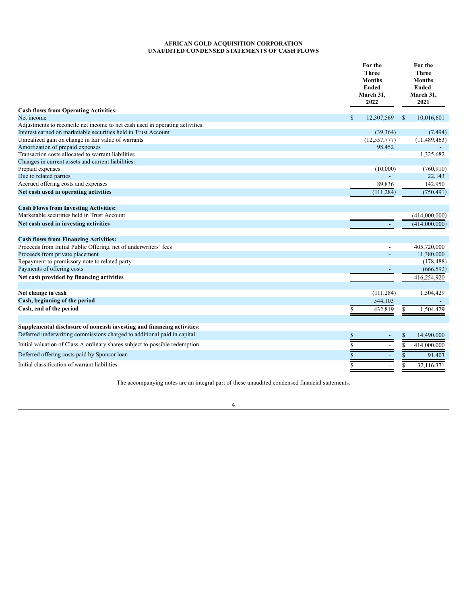## **AFRICAN GOLD ACQUISITION CORPORATION UNAUDITED CONDENSED STATEMENTS OF CASH FLOWS**

<span id="page-5-0"></span>

|                                                                               | For the<br><b>Three</b><br><b>Months</b><br><b>Ended</b><br>March 31,<br>2022 | For the<br><b>Three</b><br><b>Months</b><br><b>Ended</b><br>March 31,<br>2021 |
|-------------------------------------------------------------------------------|-------------------------------------------------------------------------------|-------------------------------------------------------------------------------|
| <b>Cash flows from Operating Activities:</b>                                  |                                                                               |                                                                               |
| Net income                                                                    | 12,307,569<br>$\mathbb{S}$                                                    | <sup>\$</sup><br>10,016,601                                                   |
| Adjustments to reconcile net income to net cash used in operating activities: |                                                                               |                                                                               |
| Interest earned on marketable securities held in Trust Account                | (39, 364)                                                                     | (7, 494)                                                                      |
| Unrealized gain on change in fair value of warrants                           | (12, 557, 777)                                                                | (11, 489, 463)                                                                |
| Amortization of prepaid expenses                                              | 98,452                                                                        |                                                                               |
| Transaction costs allocated to warrant liabilities                            |                                                                               | 1,325,682                                                                     |
| Changes in current assets and current liabilities:                            |                                                                               |                                                                               |
| Prepaid expenses                                                              | (10,000)                                                                      | (760, 910)                                                                    |
| Due to related parties                                                        |                                                                               | 22,143                                                                        |
| Accrued offering costs and expenses                                           | 89,836                                                                        | 142,950                                                                       |
| Net cash used in operating activities                                         | (111, 284)                                                                    | (750, 491)                                                                    |
| <b>Cash Flows from Investing Activities:</b>                                  |                                                                               |                                                                               |
| Marketable securities held in Trust Account                                   |                                                                               | (414,000,000)                                                                 |
| Net cash used in investing activities                                         |                                                                               | (414,000,000)                                                                 |
| <b>Cash flows from Financing Activities:</b>                                  |                                                                               |                                                                               |
| Proceeds from Initial Public Offering, net of underwriters' fees              |                                                                               | 405,720,000                                                                   |
| Proceeds from private placement                                               |                                                                               | 11,380,000                                                                    |
| Repayment to promissory note to related party                                 |                                                                               | (178, 488)                                                                    |
| Payments of offering costs                                                    |                                                                               | (666, 592)                                                                    |
| Net cash provided by financing activities                                     | $\overline{\phantom{a}}$                                                      | 416,254,920                                                                   |
| Net change in cash                                                            | (111, 284)                                                                    | 1,504,429                                                                     |
| Cash, beginning of the period                                                 | 544,103                                                                       |                                                                               |
| Cash, end of the period                                                       | 432,819                                                                       | 1,504,429<br>\$                                                               |
|                                                                               |                                                                               |                                                                               |
| Supplemental disclosure of noncash investing and financing activities:        |                                                                               |                                                                               |
| Deferred underwriting commissions charged to additional paid in capital       | \$                                                                            | 14,490,000                                                                    |
| Initial valuation of Class A ordinary shares subject to possible redemption   | \$                                                                            | \$<br>414,000,000                                                             |
| Deferred offering costs paid by Sponsor loan                                  | \$.                                                                           | 91,403                                                                        |
| Initial classification of warrant liabilities                                 | S                                                                             | 32,116,371                                                                    |

The accompanying notes are an integral part of these unaudited condensed financial statements.

4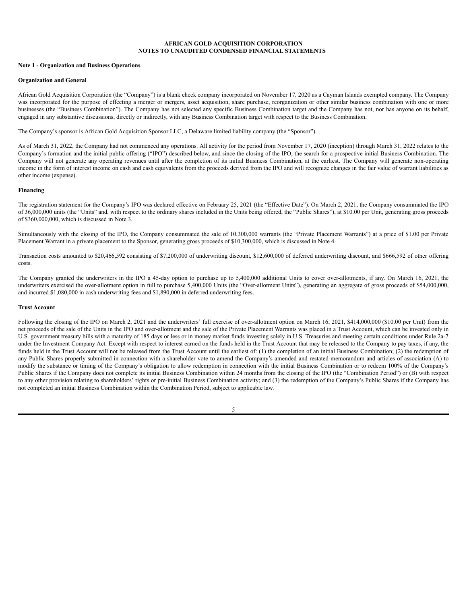## **AFRICAN GOLD ACQUISITION CORPORATION NOTES TO UNAUDITED CONDENSED FINANCIAL STATEMENTS**

#### <span id="page-6-0"></span>**Note 1 - Organization and Business Operations**

#### **Organization and General**

African Gold Acquisition Corporation (the "Company") is a blank check company incorporated on November 17, 2020 as a Cayman Islands exempted company. The Company was incorporated for the purpose of effecting a merger or mergers, asset acquisition, share purchase, reorganization or other similar business combination with one or more businesses (the "Business Combination"). The Company has not selected any specific Business Combination target and the Company has not, nor has anyone on its behalf, engaged in any substantive discussions, directly or indirectly, with any Business Combination target with respect to the Business Combination.

The Company's sponsor is African Gold Acquisition Sponsor LLC, a Delaware limited liability company (the "Sponsor").

As of March 31, 2022, the Company had not commenced any operations. All activity for the period from November 17, 2020 (inception) through March 31, 2022 relates to the Company's formation and the initial public offering ("IPO") described below, and since the closing of the IPO, the search for a prospective initial Business Combination. The Company will not generate any operating revenues until after the completion of its initial Business Combination, at the earliest. The Company will generate non-operating income in the form of interest income on cash and cash equivalents from the proceeds derived from the IPO and will recognize changes in the fair value of warrant liabilities as other income (expense).

#### **Financing**

The registration statement for the Company's IPO was declared effective on February 25, 2021 (the "Effective Date"). On March 2, 2021, the Company consummated the IPO of 36,000,000 units (the "Units" and, with respect to the ordinary shares included in the Units being offered, the "Public Shares"), at \$10.00 per Unit, generating gross proceeds of \$360,000,000, which is discussed in Note 3.

Simultaneously with the closing of the IPO, the Company consummated the sale of 10,300,000 warrants (the "Private Placement Warrants") at a price of \$1.00 per Private Placement Warrant in a private placement to the Sponsor, generating gross proceeds of \$10,300,000, which is discussed in Note 4.

Transaction costs amounted to \$20,466,592 consisting of \$7,200,000 of underwriting discount, \$12,600,000 of deferred underwriting discount, and \$666,592 of other offering costs.

The Company granted the underwriters in the IPO a 45-day option to purchase up to 5,400,000 additional Units to cover over-allotments, if any. On March 16, 2021, the underwriters exercised the over-allotment option in full to purchase 5,400,000 Units (the "Over-allotment Units"), generating an aggregate of gross proceeds of \$54,000,000, and incurred \$1,080,000 in cash underwriting fees and \$1,890,000 in deferred underwriting fees.

#### **Trust Account**

Following the closing of the IPO on March 2, 2021 and the underwriters' full exercise of over-allotment option on March 16, 2021, \$414,000,000 (\$10.00 per Unit) from the net proceeds of the sale of the Units in the IPO and over-allotment and the sale of the Private Placement Warrants was placed in a Trust Account, which can be invested only in U.S. government treasury bills with a maturity of 185 days or less or in money market funds investing solely in U.S. Treasuries and meeting certain conditions under Rule 2a-7 under the Investment Company Act. Except with respect to interest earned on the funds held in the Trust Account that may be released to the Company to pay taxes, if any, the funds held in the Trust Account will not be released from the Trust Account until the earliest of: (1) the completion of an initial Business Combination; (2) the redemption of any Public Shares properly submitted in connection with a shareholder vote to amend the Company's amended and restated memorandum and articles of association (A) to modify the substance or timing of the Company's obligation to allow redemption in connection with the initial Business Combination or to redeem 100% of the Company's Public Shares if the Company does not complete its initial Business Combination within 24 months from the closing of the IPO (the "Combination Period") or (B) with respect to any other provision relating to shareholders' rights or pre-initial Business Combination activity; and (3) the redemption of the Company's Public Shares if the Company has not completed an initial Business Combination within the Combination Period, subject to applicable law.

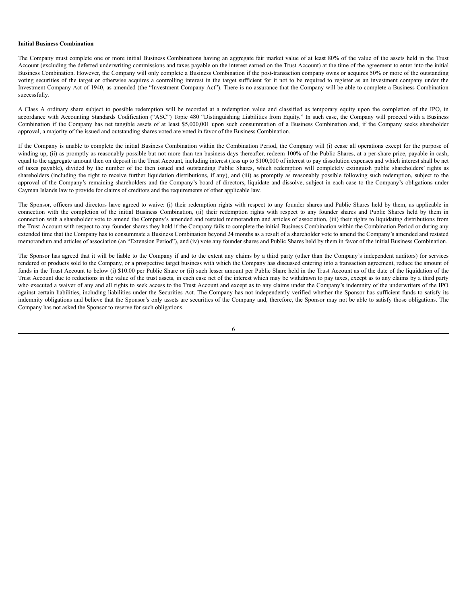#### **Initial Business Combination**

The Company must complete one or more initial Business Combinations having an aggregate fair market value of at least 80% of the value of the assets held in the Trust Account (excluding the deferred underwriting commissions and taxes payable on the interest earned on the Trust Account) at the time of the agreement to enter into the initial Business Combination. However, the Company will only complete a Business Combination if the post-transaction company owns or acquires 50% or more of the outstanding voting securities of the target or otherwise acquires a controlling interest in the target sufficient for it not to be required to register as an investment company under the Investment Company Act of 1940, as amended (the "Investment Company Act"). There is no assurance that the Company will be able to complete a Business Combination successfully.

A Class A ordinary share subject to possible redemption will be recorded at a redemption value and classified as temporary equity upon the completion of the IPO, in accordance with Accounting Standards Codification ("ASC") Topic 480 "Distinguishing Liabilities from Equity." In such case, the Company will proceed with a Business Combination if the Company has net tangible assets of at least \$5,000,001 upon such consummation of a Business Combination and, if the Company seeks shareholder approval, a majority of the issued and outstanding shares voted are voted in favor of the Business Combination.

If the Company is unable to complete the initial Business Combination within the Combination Period, the Company will (i) cease all operations except for the purpose of winding up, (ii) as promptly as reasonably possible but not more than ten business days thereafter, redeem 100% of the Public Shares, at a per-share price, payable in cash, equal to the aggregate amount then on deposit in the Trust Account, including interest (less up to \$100,000 of interest to pay dissolution expenses and which interest shall be net of taxes payable), divided by the number of the then issued and outstanding Public Shares, which redemption will completely extinguish public shareholders' rights as shareholders (including the right to receive further liquidation distributions, if any), and (iii) as promptly as reasonably possible following such redemption, subject to the approval of the Company's remaining shareholders and the Company's board of directors, liquidate and dissolve, subject in each case to the Company's obligations under Cayman Islands law to provide for claims of creditors and the requirements of other applicable law.

The Sponsor, officers and directors have agreed to waive: (i) their redemption rights with respect to any founder shares and Public Shares held by them, as applicable in connection with the completion of the initial Business Combination, (ii) their redemption rights with respect to any founder shares and Public Shares held by them in connection with a shareholder vote to amend the Company's amended and restated memorandum and articles of association, (iii) their rights to liquidating distributions from the Trust Account with respect to any founder shares they hold if the Company fails to complete the initial Business Combination within the Combination Period or during any extended time that the Company has to consummate a Business Combination beyond 24 months as a result of a shareholder vote to amend the Company's amended and restated memorandum and articles of association (an "Extension Period"), and (iv) vote any founder shares and Public Shares held by them in favor of the initial Business Combination.

The Sponsor has agreed that it will be liable to the Company if and to the extent any claims by a third party (other than the Company's independent auditors) for services rendered or products sold to the Company, or a prospective target business with which the Company has discussed entering into a transaction agreement, reduce the amount of funds in the Trust Account to below (i) \$10.00 per Public Share or (ii) such lesser amount per Public Share held in the Trust Account as of the date of the liquidation of the Trust Account due to reductions in the value of the trust assets, in each case net of the interest which may be withdrawn to pay taxes, except as to any claims by a third party who executed a waiver of any and all rights to seek access to the Trust Account and except as to any claims under the Company's indemnity of the underwriters of the IPO against certain liabilities, including liabilities under the Securities Act. The Company has not independently verified whether the Sponsor has sufficient funds to satisfy its indemnity obligations and believe that the Sponsor's only assets are securities of the Company and, therefore, the Sponsor may not be able to satisfy those obligations. The Company has not asked the Sponsor to reserve for such obligations.

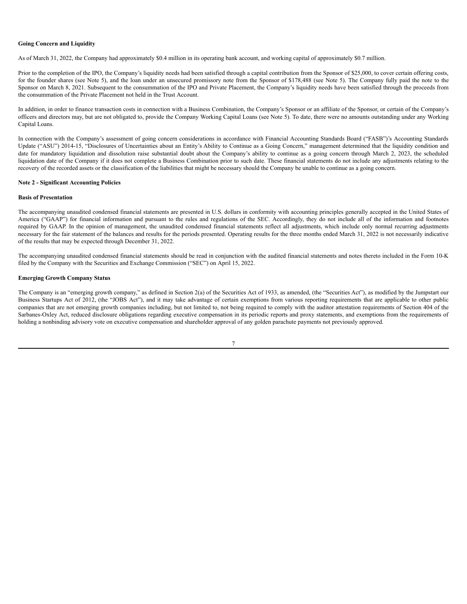#### **Going Concern and Liquidity**

As of March 31, 2022, the Company had approximately \$0.4 million in its operating bank account, and working capital of approximately \$0.7 million.

Prior to the completion of the IPO, the Company's liquidity needs had been satisfied through a capital contribution from the Sponsor of \$25,000, to cover certain offering costs, for the founder shares (see Note 5), and the loan under an unsecured promissory note from the Sponsor of \$178,488 (see Note 5). The Company fully paid the note to the Sponsor on March 8, 2021. Subsequent to the consummation of the IPO and Private Placement, the Company's liquidity needs have been satisfied through the proceeds from the consummation of the Private Placement not held in the Trust Account.

In addition, in order to finance transaction costs in connection with a Business Combination, the Company's Sponsor or an affiliate of the Sponsor, or certain of the Company's officers and directors may, but are not obligated to, provide the Company Working Capital Loans (see Note 5). To date, there were no amounts outstanding under any Working Capital Loans.

In connection with the Company's assessment of going concern considerations in accordance with Financial Accounting Standards Board ("FASB")'s Accounting Standards Update ("ASU") 2014-15, "Disclosures of Uncertainties about an Entity's Ability to Continue as a Going Concern," management determined that the liquidity condition and date for mandatory liquidation and dissolution raise substantial doubt about the Company's ability to continue as a going concern through March 2, 2023, the scheduled liquidation date of the Company if it does not complete a Business Combination prior to such date. These financial statements do not include any adjustments relating to the recovery of the recorded assets or the classification of the liabilities that might be necessary should the Company be unable to continue as a going concern.

#### **Note 2 - Significant Accounting Policies**

#### **Basis of Presentation**

The accompanying unaudited condensed financial statements are presented in U.S. dollars in conformity with accounting principles generally accepted in the United States of America ("GAAP") for financial information and pursuant to the rules and regulations of the SEC. Accordingly, they do not include all of the information and footnotes required by GAAP. In the opinion of management, the unaudited condensed financial statements reflect all adjustments, which include only normal recurring adjustments necessary for the fair statement of the balances and results for the periods presented. Operating results for the three months ended March 31, 2022 is not necessarily indicative of the results that may be expected through December 31, 2022.

The accompanying unaudited condensed financial statements should be read in conjunction with the audited financial statements and notes thereto included in the Form 10-K filed by the Company with the Securities and Exchange Commission ("SEC") on April 15, 2022.

## **Emerging Growth Company Status**

The Company is an "emerging growth company," as defined in Section 2(a) of the Securities Act of 1933, as amended, (the "Securities Act"), as modified by the Jumpstart our Business Startups Act of 2012, (the "JOBS Act"), and it may take advantage of certain exemptions from various reporting requirements that are applicable to other public companies that are not emerging growth companies including, but not limited to, not being required to comply with the auditor attestation requirements of Section 404 of the Sarbanes-Oxley Act, reduced disclosure obligations regarding executive compensation in its periodic reports and proxy statements, and exemptions from the requirements of holding a nonbinding advisory vote on executive compensation and shareholder approval of any golden parachute payments not previously approved.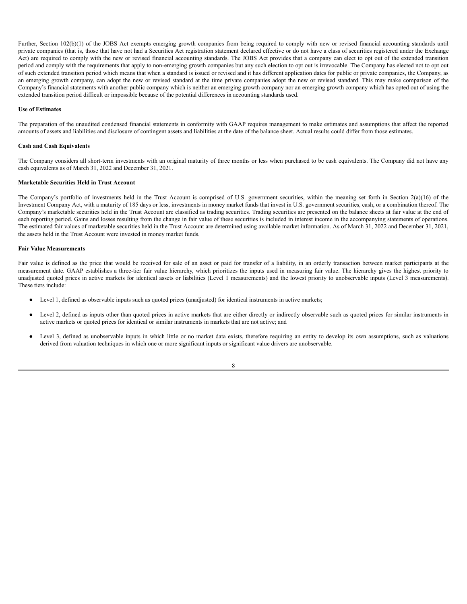Further, Section 102(b)(1) of the JOBS Act exempts emerging growth companies from being required to comply with new or revised financial accounting standards until private companies (that is, those that have not had a Securities Act registration statement declared effective or do not have a class of securities registered under the Exchange Act) are required to comply with the new or revised financial accounting standards. The JOBS Act provides that a company can elect to opt out of the extended transition period and comply with the requirements that apply to non-emerging growth companies but any such election to opt out is irrevocable. The Company has elected not to opt out of such extended transition period which means that when a standard is issued or revised and it has different application dates for public or private companies, the Company, as an emerging growth company, can adopt the new or revised standard at the time private companies adopt the new or revised standard. This may make comparison of the Company's financial statements with another public company which is neither an emerging growth company nor an emerging growth company which has opted out of using the extended transition period difficult or impossible because of the potential differences in accounting standards used.

### **Use of Estimates**

The preparation of the unaudited condensed financial statements in conformity with GAAP requires management to make estimates and assumptions that affect the reported amounts of assets and liabilities and disclosure of contingent assets and liabilities at the date of the balance sheet. Actual results could differ from those estimates.

## **Cash and Cash Equivalents**

The Company considers all short-term investments with an original maturity of three months or less when purchased to be cash equivalents. The Company did not have any cash equivalents as of March 31, 2022 and December 31, 2021.

#### **Marketable Securities Held in Trust Account**

The Company's portfolio of investments held in the Trust Account is comprised of U.S. government securities, within the meaning set forth in Section 2(a)(16) of the Investment Company Act, with a maturity of 185 days or less, investments in money market funds that invest in U.S. government securities, cash, or a combination thereof. The Company's marketable securities held in the Trust Account are classified as trading securities. Trading securities are presented on the balance sheets at fair value at the end of each reporting period. Gains and losses resulting from the change in fair value of these securities is included in interest income in the accompanying statements of operations. The estimated fair values of marketable securities held in the Trust Account are determined using available market information. As of March 31, 2022 and December 31, 2021, the assets held in the Trust Account were invested in money market funds.

## **Fair Value Measurements**

Fair value is defined as the price that would be received for sale of an asset or paid for transfer of a liability, in an orderly transaction between market participants at the measurement date. GAAP establishes a three-tier fair value hierarchy, which prioritizes the inputs used in measuring fair value. The hierarchy gives the highest priority to unadjusted quoted prices in active markets for identical assets or liabilities (Level 1 measurements) and the lowest priority to unobservable inputs (Level 3 measurements). These tiers include:

- Level 1, defined as observable inputs such as quoted prices (unadjusted) for identical instruments in active markets;
- Level 2, defined as inputs other than quoted prices in active markets that are either directly or indirectly observable such as quoted prices for similar instruments in active markets or quoted prices for identical or similar instruments in markets that are not active; and
- Level 3, defined as unobservable inputs in which little or no market data exists, therefore requiring an entity to develop its own assumptions, such as valuations derived from valuation techniques in which one or more significant inputs or significant value drivers are unobservable.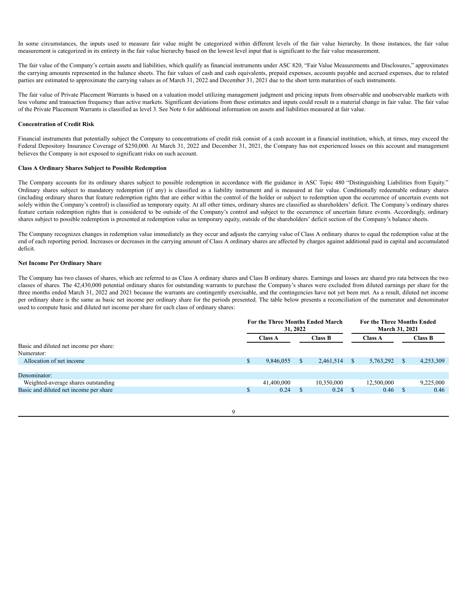In some circumstances, the inputs used to measure fair value might be categorized within different levels of the fair value hierarchy. In those instances, the fair value measurement is categorized in its entirety in the fair value hierarchy based on the lowest level input that is significant to the fair value measurement.

The fair value of the Company's certain assets and liabilities, which qualify as financial instruments under ASC 820, "Fair Value Measurements and Disclosures," approximates the carrying amounts represented in the balance sheets. The fair values of cash and cash equivalents, prepaid expenses, accounts payable and accrued expenses, due to related parties are estimated to approximate the carrying values as of March 31, 2022 and December 31, 2021 due to the short term maturities of such instruments.

The fair value of Private Placement Warrants is based on a valuation model utilizing management judgment and pricing inputs from observable and unobservable markets with less volume and transaction frequency than active markets. Significant deviations from these estimates and inputs could result in a material change in fair value. The fair value of the Private Placement Warrants is classified as level 3. See Note 6 for additional information on assets and liabilities measured at fair value.

### **Concentration of Credit Risk**

Financial instruments that potentially subject the Company to concentrations of credit risk consist of a cash account in a financial institution, which, at times, may exceed the Federal Depository Insurance Coverage of \$250,000. At March 31, 2022 and December 31, 2021, the Company has not experienced losses on this account and management believes the Company is not exposed to significant risks on such account.

## **Class A Ordinary Shares Subject to Possible Redemption**

The Company accounts for its ordinary shares subject to possible redemption in accordance with the guidance in ASC Topic 480 "Distinguishing Liabilities from Equity." Ordinary shares subject to mandatory redemption (if any) is classified as a liability instrument and is measured at fair value. Conditionally redeemable ordinary shares (including ordinary shares that feature redemption rights that are either within the control of the holder or subject to redemption upon the occurrence of uncertain events not solely within the Company's control) is classified as temporary equity. At all other times, ordinary shares are classified as shareholders' deficit. The Company's ordinary shares feature certain redemption rights that is considered to be outside of the Company's control and subject to the occurrence of uncertain future events. Accordingly, ordinary shares subject to possible redemption is presented at redemption value as temporary equity, outside of the shareholders' deficit section of the Company's balance sheets.

The Company recognizes changes in redemption value immediately as they occur and adjusts the carrying value of Class A ordinary shares to equal the redemption value at the end of each reporting period. Increases or decreases in the carrying amount of Class A ordinary shares are affected by charges against additional paid in capital and accumulated deficit.

### **Net Income Per Ordinary Share**

The Company has two classes of shares, which are referred to as Class A ordinary shares and Class B ordinary shares. Earnings and losses are shared pro rata between the two classes of shares. The 42,430,000 potential ordinary shares for outstanding warrants to purchase the Company's shares were excluded from diluted earnings per share for the three months ended March 31, 2022 and 2021 because the warrants are contingently exercisable, and the contingencies have not yet been met. As a result, diluted net income per ordinary share is the same as basic net income per ordinary share for the periods presented. The table below presents a reconciliation of the numerator and denominator used to compute basic and diluted net income per share for each class of ordinary shares:

|                                         |   | <b>For the Three Months Ended March</b><br>31, 2022 |  |            | <b>For the Three Months Ended</b><br><b>March 31, 2021</b> |            |                |           |
|-----------------------------------------|---|-----------------------------------------------------|--|------------|------------------------------------------------------------|------------|----------------|-----------|
|                                         |   | Class B<br><b>Class A</b>                           |  |            | <b>Class A</b>                                             |            | <b>Class B</b> |           |
| Basic and diluted net income per share: |   |                                                     |  |            |                                                            |            |                |           |
| Numerator:                              |   |                                                     |  |            |                                                            |            |                |           |
| Allocation of net income                |   | 9,846,055                                           |  | 2,461,514  | \$.                                                        | 5,763,292  |                | 4,253,309 |
|                                         |   |                                                     |  |            |                                                            |            |                |           |
| Denominator:                            |   |                                                     |  |            |                                                            |            |                |           |
| Weighted-average shares outstanding     |   | 41,400,000                                          |  | 10,350,000 |                                                            | 12,500,000 |                | 9,225,000 |
| Basic and diluted net income per share  | ж | 0.24                                                |  | 0.24       | <sup>\$</sup>                                              | 0.46       | - \$           | 0.46      |
|                                         |   |                                                     |  |            |                                                            |            |                |           |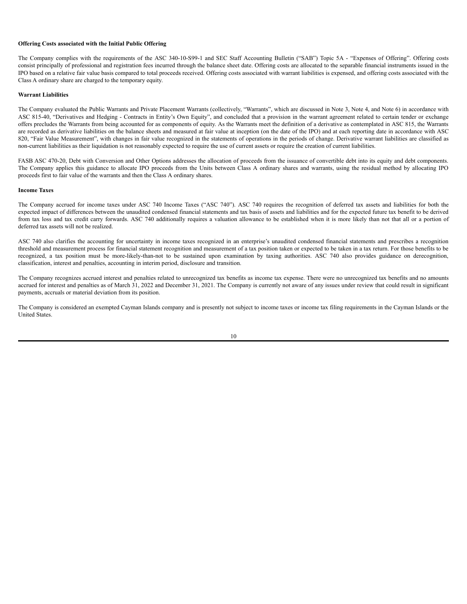#### **Offering Costs associated with the Initial Public Offering**

The Company complies with the requirements of the ASC 340-10-S99-1 and SEC Staff Accounting Bulletin ("SAB") Topic 5A - "Expenses of Offering". Offering costs consist principally of professional and registration fees incurred through the balance sheet date. Offering costs are allocated to the separable financial instruments issued in the IPO based on a relative fair value basis compared to total proceeds received. Offering costs associated with warrant liabilities is expensed, and offering costs associated with the Class A ordinary share are charged to the temporary equity.

#### **Warrant Liabilities**

The Company evaluated the Public Warrants and Private Placement Warrants (collectively, "Warrants", which are discussed in Note 3, Note 4, and Note 6) in accordance with ASC 815-40, "Derivatives and Hedging - Contracts in Entity's Own Equity", and concluded that a provision in the warrant agreement related to certain tender or exchange offers precludes the Warrants from being accounted for as components of equity. As the Warrants meet the definition of a derivative as contemplated in ASC 815, the Warrants are recorded as derivative liabilities on the balance sheets and measured at fair value at inception (on the date of the IPO) and at each reporting date in accordance with ASC 820, "Fair Value Measurement", with changes in fair value recognized in the statements of operations in the periods of change. Derivative warrant liabilities are classified as non-current liabilities as their liquidation is not reasonably expected to require the use of current assets or require the creation of current liabilities.

FASB ASC 470-20, Debt with Conversion and Other Options addresses the allocation of proceeds from the issuance of convertible debt into its equity and debt components. The Company applies this guidance to allocate IPO proceeds from the Units between Class A ordinary shares and warrants, using the residual method by allocating IPO proceeds first to fair value of the warrants and then the Class A ordinary shares.

#### **Income Taxes**

The Company accrued for income taxes under ASC 740 Income Taxes ("ASC 740"). ASC 740 requires the recognition of deferred tax assets and liabilities for both the expected impact of differences between the unaudited condensed financial statements and tax basis of assets and liabilities and for the expected future tax benefit to be derived from tax loss and tax credit carry forwards. ASC 740 additionally requires a valuation allowance to be established when it is more likely than not that all or a portion of deferred tax assets will not be realized.

ASC 740 also clarifies the accounting for uncertainty in income taxes recognized in an enterprise's unaudited condensed financial statements and prescribes a recognition threshold and measurement process for financial statement recognition and measurement of a tax position taken or expected to be taken in a tax return. For those benefits to be recognized, a tax position must be more-likely-than-not to be sustained upon examination by taxing authorities. ASC 740 also provides guidance on derecognition, classification, interest and penalties, accounting in interim period, disclosure and transition.

The Company recognizes accrued interest and penalties related to unrecognized tax benefits as income tax expense. There were no unrecognized tax benefits and no amounts accrued for interest and penalties as of March 31, 2022 and December 31, 2021. The Company is currently not aware of any issues under review that could result in significant payments, accruals or material deviation from its position.

The Company is considered an exempted Cayman Islands company and is presently not subject to income taxes or income tax filing requirements in the Cayman Islands or the United States.

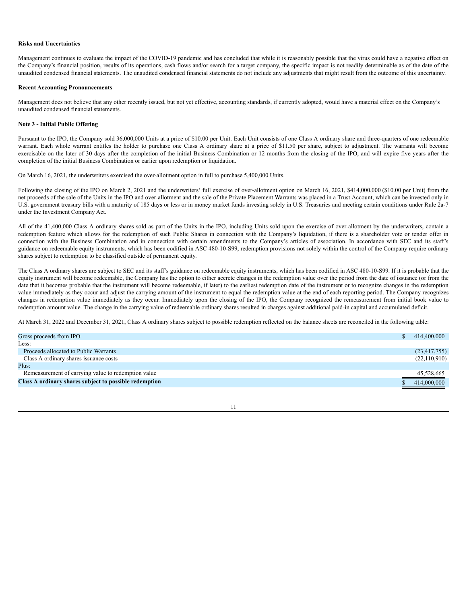### **Risks and Uncertainties**

Management continues to evaluate the impact of the COVID-19 pandemic and has concluded that while it is reasonably possible that the virus could have a negative effect on the Company's financial position, results of its operations, cash flows and/or search for a target company, the specific impact is not readily determinable as of the date of the unaudited condensed financial statements. The unaudited condensed financial statements do not include any adjustments that might result from the outcome of this uncertainty.

#### **Recent Accounting Pronouncements**

Management does not believe that any other recently issued, but not yet effective, accounting standards, if currently adopted, would have a material effect on the Company's unaudited condensed financial statements.

## **Note 3 - Initial Public Offering**

Pursuant to the IPO, the Company sold 36,000,000 Units at a price of \$10.00 per Unit. Each Unit consists of one Class A ordinary share and three-quarters of one redeemable warrant. Each whole warrant entitles the holder to purchase one Class A ordinary share at a price of \$11.50 per share, subject to adjustment. The warrants will become exercisable on the later of 30 days after the completion of the initial Business Combination or 12 months from the closing of the IPO, and will expire five years after the completion of the initial Business Combination or earlier upon redemption or liquidation.

On March 16, 2021, the underwriters exercised the over-allotment option in full to purchase 5,400,000 Units.

Following the closing of the IPO on March 2, 2021 and the underwriters' full exercise of over-allotment option on March 16, 2021, \$414,000,000 (\$10.00 per Unit) from the net proceeds of the sale of the Units in the IPO and over-allotment and the sale of the Private Placement Warrants was placed in a Trust Account, which can be invested only in U.S. government treasury bills with a maturity of 185 days or less or in money market funds investing solely in U.S. Treasuries and meeting certain conditions under Rule 2a-7 under the Investment Company Act.

All of the 41,400,000 Class A ordinary shares sold as part of the Units in the IPO, including Units sold upon the exercise of over-allotment by the underwriters, contain a redemption feature which allows for the redemption of such Public Shares in connection with the Company's liquidation, if there is a shareholder vote or tender offer in connection with the Business Combination and in connection with certain amendments to the Company's articles of association. In accordance with SEC and its staff's guidance on redeemable equity instruments, which has been codified in ASC 480-10-S99, redemption provisions not solely within the control of the Company require ordinary shares subject to redemption to be classified outside of permanent equity.

The Class A ordinary shares are subject to SEC and its staff's guidance on redeemable equity instruments, which has been codified in ASC 480-10-S99. If it is probable that the equity instrument will become redeemable, the Company has the option to either accrete changes in the redemption value over the period from the date of issuance (or from the date that it becomes probable that the instrument will become redeemable, if later) to the earliest redemption date of the instrument or to recognize changes in the redemption value immediately as they occur and adjust the carrying amount of the instrument to equal the redemption value at the end of each reporting period. The Company recognizes changes in redemption value immediately as they occur. Immediately upon the closing of the IPO, the Company recognized the remeasurement from initial book value to redemption amount value. The change in the carrying value of redeemable ordinary shares resulted in charges against additional paid-in capital and accumulated deficit.

At March 31, 2022 and December 31, 2021, Class A ordinary shares subject to possible redemption reflected on the balance sheets are reconciled in the following table:

| 414,400,000    |
|----------------|
|                |
| (23, 417, 755) |
| (22,110,910)   |
|                |
| 45,528,665     |
| 414,000,000    |
|                |

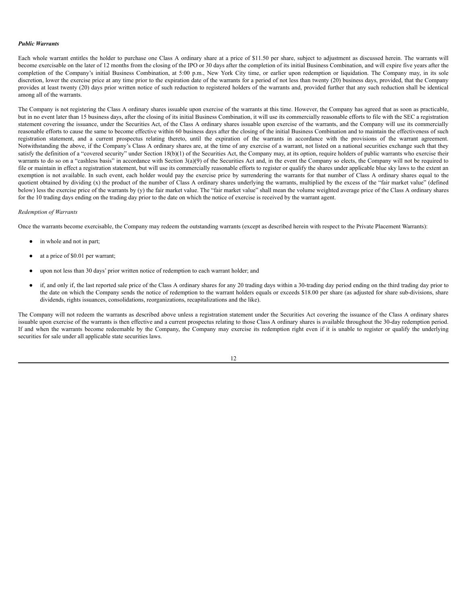#### *Public Warrants*

Each whole warrant entitles the holder to purchase one Class A ordinary share at a price of \$11.50 per share, subject to adjustment as discussed herein. The warrants will become exercisable on the later of 12 months from the closing of the IPO or 30 days after the completion of its initial Business Combination, and will expire five years after the completion of the Company's initial Business Combination, at 5:00 p.m., New York City time, or earlier upon redemption or liquidation. The Company may, in its sole discretion, lower the exercise price at any time prior to the expiration date of the warrants for a period of not less than twenty (20) business days, provided, that the Company provides at least twenty (20) days prior written notice of such reduction to registered holders of the warrants and, provided further that any such reduction shall be identical among all of the warrants.

The Company is not registering the Class A ordinary shares issuable upon exercise of the warrants at this time. However, the Company has agreed that as soon as practicable, but in no event later than 15 business days, after the closing of its initial Business Combination, it will use its commercially reasonable efforts to file with the SEC a registration statement covering the issuance, under the Securities Act, of the Class A ordinary shares issuable upon exercise of the warrants, and the Company will use its commercially reasonable efforts to cause the same to become effective within 60 business days after the closing of the initial Business Combination and to maintain the effectiveness of such registration statement, and a current prospectus relating thereto, until the expiration of the warrants in accordance with the provisions of the warrant agreement. Notwithstanding the above, if the Company's Class A ordinary shares are, at the time of any exercise of a warrant, not listed on a national securities exchange such that they satisfy the definition of a "covered security" under Section 18(b)(1) of the Securities Act, the Company may, at its option, require holders of public warrants who exercise their warrants to do so on a "cashless basis" in accordance with Section 3(a)(9) of the Securities Act and, in the event the Company so elects, the Company will not be required to file or maintain in effect a registration statement, but will use its commercially reasonable efforts to register or qualify the shares under applicable blue sky laws to the extent an exemption is not available. In such event, each holder would pay the exercise price by surrendering the warrants for that number of Class A ordinary shares equal to the quotient obtained by dividing (x) the product of the number of Class A ordinary shares underlying the warrants, multiplied by the excess of the "fair market value" (defined below) less the exercise price of the warrants by (y) the fair market value. The "fair market value" shall mean the volume weighted average price of the Class A ordinary shares for the 10 trading days ending on the trading day prior to the date on which the notice of exercise is received by the warrant agent.

#### *Redemption of Warrants*

Once the warrants become exercisable, the Company may redeem the outstanding warrants (except as described herein with respect to the Private Placement Warrants):

- in whole and not in part;
- at a price of \$0.01 per warrant;
- upon not less than 30 days' prior written notice of redemption to each warrant holder; and
- if, and only if, the last reported sale price of the Class A ordinary shares for any 20 trading days within a 30-trading day period ending on the third trading day prior to the date on which the Company sends the notice of redemption to the warrant holders equals or exceeds \$18.00 per share (as adjusted for share sub-divisions, share dividends, rights issuances, consolidations, reorganizations, recapitalizations and the like).

The Company will not redeem the warrants as described above unless a registration statement under the Securities Act covering the issuance of the Class A ordinary shares issuable upon exercise of the warrants is then effective and a current prospectus relating to those Class A ordinary shares is available throughout the 30-day redemption period. If and when the warrants become redeemable by the Company, the Company may exercise its redemption right even if it is unable to register or qualify the underlying securities for sale under all applicable state securities laws.

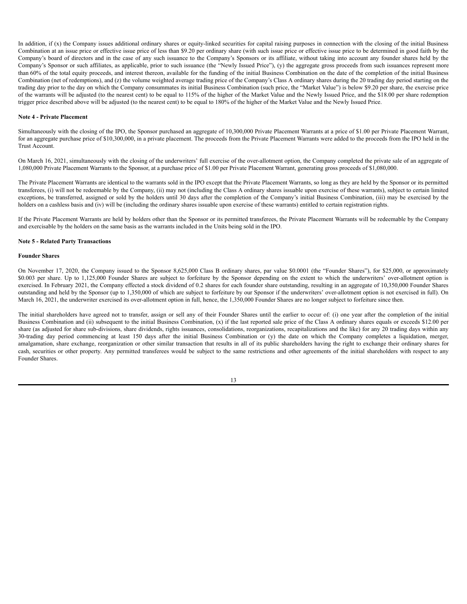In addition, if (x) the Company issues additional ordinary shares or equity-linked securities for capital raising purposes in connection with the closing of the initial Business Combination at an issue price or effective issue price of less than \$9.20 per ordinary share (with such issue price or effective issue price to be determined in good faith by the Company's board of directors and in the case of any such issuance to the Company's Sponsors or its affiliate, without taking into account any founder shares held by the Company's Sponsor or such affiliates, as applicable, prior to such issuance (the "Newly Issued Price"), (y) the aggregate gross proceeds from such issuances represent more than 60% of the total equity proceeds, and interest thereon, available for the funding of the initial Business Combination on the date of the completion of the initial Business Combination (net of redemptions), and (z) the volume weighted average trading price of the Company's Class A ordinary shares during the 20 trading day period starting on the trading day prior to the day on which the Company consummates its initial Business Combination (such price, the "Market Value") is below \$9.20 per share, the exercise price of the warrants will be adjusted (to the nearest cent) to be equal to 115% of the higher of the Market Value and the Newly Issued Price, and the \$18.00 per share redemption trigger price described above will be adjusted (to the nearest cent) to be equal to 180% of the higher of the Market Value and the Newly Issued Price.

## **Note 4 - Private Placement**

Simultaneously with the closing of the IPO, the Sponsor purchased an aggregate of 10,300,000 Private Placement Warrants at a price of \$1.00 per Private Placement Warrant, for an aggregate purchase price of \$10,300,000, in a private placement. The proceeds from the Private Placement Warrants were added to the proceeds from the IPO held in the Trust Account.

On March 16, 2021, simultaneously with the closing of the underwriters' full exercise of the over-allotment option, the Company completed the private sale of an aggregate of 1,080,000 Private Placement Warrants to the Sponsor, at a purchase price of \$1.00 per Private Placement Warrant, generating gross proceeds of \$1,080,000.

The Private Placement Warrants are identical to the warrants sold in the IPO except that the Private Placement Warrants, so long as they are held by the Sponsor or its permitted transferees, (i) will not be redeemable by the Company, (ii) may not (including the Class A ordinary shares issuable upon exercise of these warrants), subject to certain limited exceptions, be transferred, assigned or sold by the holders until 30 days after the completion of the Company's initial Business Combination, (iii) may be exercised by the holders on a cashless basis and (iv) will be (including the ordinary shares issuable upon exercise of these warrants) entitled to certain registration rights.

If the Private Placement Warrants are held by holders other than the Sponsor or its permitted transferees, the Private Placement Warrants will be redeemable by the Company and exercisable by the holders on the same basis as the warrants included in the Units being sold in the IPO.

#### **Note 5 - Related Party Transactions**

#### **Founder Shares**

On November 17, 2020, the Company issued to the Sponsor 8,625,000 Class B ordinary shares, par value \$0.0001 (the "Founder Shares"), for \$25,000, or approximately \$0.003 per share. Up to 1,125,000 Founder Shares are subject to forfeiture by the Sponsor depending on the extent to which the underwriters' over-allotment option is exercised. In February 2021, the Company effected a stock dividend of 0.2 shares for each founder share outstanding, resulting in an aggregate of 10,350,000 Founder Shares outstanding and held by the Sponsor (up to 1,350,000 of which are subject to forfeiture by our Sponsor if the underwriters' over-allotment option is not exercised in full). On March 16, 2021, the underwriter exercised its over-allotment option in full, hence, the 1,350,000 Founder Shares are no longer subject to forfeiture since then.

The initial shareholders have agreed not to transfer, assign or sell any of their Founder Shares until the earlier to occur of: (i) one year after the completion of the initial Business Combination and (ii) subsequent to the initial Business Combination, (x) if the last reported sale price of the Class A ordinary shares equals or exceeds \$12.00 per share (as adjusted for share sub-divisions, share dividends, rights issuances, consolidations, reorganizations, recapitalizations and the like) for any 20 trading days within any 30-trading day period commencing at least 150 days after the initial Business Combination or (y) the date on which the Company completes a liquidation, merger, amalgamation, share exchange, reorganization or other similar transaction that results in all of its public shareholders having the right to exchange their ordinary shares for cash, securities or other property. Any permitted transferees would be subject to the same restrictions and other agreements of the initial shareholders with respect to any Founder Shares.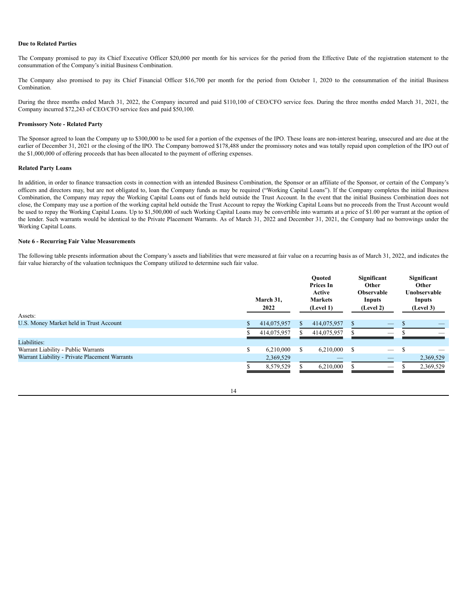#### **Due to Related Parties**

The Company promised to pay its Chief Executive Officer \$20,000 per month for his services for the period from the Effective Date of the registration statement to the consummation of the Company's initial Business Combination.

The Company also promised to pay its Chief Financial Officer \$16,700 per month for the period from October 1, 2020 to the consummation of the initial Business Combination.

During the three months ended March 31, 2022, the Company incurred and paid \$110,100 of CEO/CFO service fees. During the three months ended March 31, 2021, the Company incurred \$72,243 of CEO/CFO service fees and paid \$50,100.

#### **Promissory Note - Related Party**

The Sponsor agreed to loan the Company up to \$300,000 to be used for a portion of the expenses of the IPO. These loans are non-interest bearing, unsecured and are due at the earlier of December 31, 2021 or the closing of the IPO. The Company borrowed \$178,488 under the promissory notes and was totally repaid upon completion of the IPO out of the \$1,000,000 of offering proceeds that has been allocated to the payment of offering expenses.

#### **Related Party Loans**

In addition, in order to finance transaction costs in connection with an intended Business Combination, the Sponsor or an affiliate of the Sponsor, or certain of the Company's officers and directors may, but are not obligated to, loan the Company funds as may be required ("Working Capital Loans"). If the Company completes the initial Business Combination, the Company may repay the Working Capital Loans out of funds held outside the Trust Account. In the event that the initial Business Combination does not close, the Company may use a portion of the working capital held outside the Trust Account to repay the Working Capital Loans but no proceeds from the Trust Account would be used to repay the Working Capital Loans. Up to \$1,500,000 of such Working Capital Loans may be convertible into warrants at a price of \$1.00 per warrant at the option of the lender. Such warrants would be identical to the Private Placement Warrants. As of March 31, 2022 and December 31, 2021, the Company had no borrowings under the Working Capital Loans.

#### **Note 6 - Recurring Fair Value Measurements**

The following table presents information about the Company's assets and liabilities that were measured at fair value on a recurring basis as of March 31, 2022, and indicates the fair value hierarchy of the valuation techniques the Company utilized to determine such fair value.

| Assets:                                        | March 31,<br>2022 |             |     | Ouoted<br><b>Prices In</b><br>Active<br><b>Markets</b><br>(Level 1) |    | Significant<br>Other<br><b>Observable</b><br>Inputs<br>(Level 2) |  | Significant<br>Other<br>Unobservable<br>Inputs<br>(Level 3) |  |
|------------------------------------------------|-------------------|-------------|-----|---------------------------------------------------------------------|----|------------------------------------------------------------------|--|-------------------------------------------------------------|--|
| U.S. Money Market held in Trust Account        |                   | 414,075,957 | S.  | 414,075,957                                                         | S  |                                                                  |  |                                                             |  |
|                                                |                   | 414,075,957 |     | 414,075,957                                                         |    | __                                                               |  |                                                             |  |
| Liabilities:                                   |                   |             |     |                                                                     |    |                                                                  |  |                                                             |  |
| Warrant Liability - Public Warrants            | S                 | 6,210,000   | \$. | 6,210,000                                                           | \$ | $\overbrace{\qquad \qquad }^{}$                                  |  |                                                             |  |
| Warrant Liability - Private Placement Warrants |                   | 2,369,529   |     |                                                                     |    |                                                                  |  | 2,369,529                                                   |  |
|                                                |                   | 8,579,529   |     | 6,210,000                                                           |    |                                                                  |  | 2,369,529                                                   |  |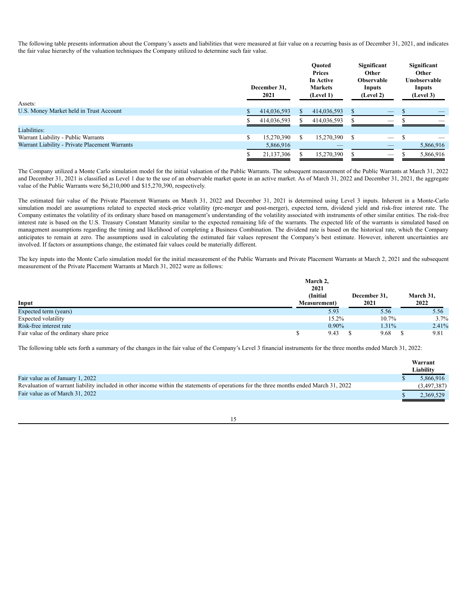The following table presents information about the Company's assets and liabilities that were measured at fair value on a recurring basis as of December 31, 2021, and indicates the fair value hierarchy of the valuation techniques the Company utilized to determine such fair value.

|                                                | December 31,<br>2021 |             | <b>Ouoted</b><br><b>Prices</b><br>In Active<br><b>Markets</b><br>(Level 1) |             | Significant<br>Other<br><b>Observable</b><br>Inputs<br>(Level 2) |                          | Significant<br>Other<br>Unobservable<br>Inputs<br>(Level 3) |           |
|------------------------------------------------|----------------------|-------------|----------------------------------------------------------------------------|-------------|------------------------------------------------------------------|--------------------------|-------------------------------------------------------------|-----------|
| Assets:                                        |                      |             |                                                                            |             |                                                                  |                          |                                                             |           |
| U.S. Money Market held in Trust Account        |                      | 414,036,593 | \$.                                                                        | 414,036,593 |                                                                  |                          |                                                             |           |
|                                                |                      | 414,036,593 |                                                                            | 414,036,593 |                                                                  | __                       |                                                             |           |
| Liabilities:                                   |                      |             |                                                                            |             |                                                                  |                          |                                                             |           |
| Warrant Liability - Public Warrants            | \$.                  | 15,270,390  | S.                                                                         | 15,270,390  | \$.                                                              | $\overline{\phantom{m}}$ |                                                             |           |
| Warrant Liability - Private Placement Warrants |                      | 5,866,916   |                                                                            |             |                                                                  |                          |                                                             | 5,866,916 |
|                                                |                      | 21,137,306  |                                                                            | 15,270,390  |                                                                  |                          |                                                             | 5,866,916 |

The Company utilized a Monte Carlo simulation model for the initial valuation of the Public Warrants. The subsequent measurement of the Public Warrants at March 31, 2022 and December 31, 2021 is classified as Level 1 due to the use of an observable market quote in an active market. As of March 31, 2022 and December 31, 2021, the aggregate value of the Public Warrants were \$6,210,000 and \$15,270,390, respectively.

The estimated fair value of the Private Placement Warrants on March 31, 2022 and December 31, 2021 is determined using Level 3 inputs. Inherent in a Monte-Carlo simulation model are assumptions related to expected stock-price volatility (pre-merger and post-merger), expected term, dividend yield and risk-free interest rate. The Company estimates the volatility of its ordinary share based on management's understanding of the volatility associated with instruments of other similar entities. The risk-free interest rate is based on the U.S. Treasury Constant Maturity similar to the expected remaining life of the warrants. The expected life of the warrants is simulated based on management assumptions regarding the timing and likelihood of completing a Business Combination. The dividend rate is based on the historical rate, which the Company anticipates to remain at zero. The assumptions used in calculating the estimated fair values represent the Company's best estimate. However, inherent uncertainties are involved. If factors or assumptions change, the estimated fair values could be materially different.

The key inputs into the Monte Carlo simulation model for the initial measurement of the Public Warrants and Private Placement Warrants at March 2, 2021 and the subsequent measurement of the Private Placement Warrants at March 31, 2022 were as follows:

|                                        | March 2,<br>2021<br>(Initial)<br>December 31, |          |       |      | March 31, |  |
|----------------------------------------|-----------------------------------------------|----------|-------|------|-----------|--|
| Input                                  | <b>Measurement</b> )                          |          | 2021  | 2022 |           |  |
| Expected term (years)                  | 5.93                                          |          | 5.56  |      | 5.56      |  |
| Expected volatility                    |                                               | 15.2%    | 10.7% |      | 3.7%      |  |
| Risk-free interest rate                |                                               | $0.90\%$ | 1.31% |      | 2.41%     |  |
| Fair value of the ordinary share price | 9.43                                          |          | 9.68  |      | 9.81      |  |

The following table sets forth a summary of the changes in the fair value of the Company's Level 3 financial instruments for the three months ended March 31, 2022:

|                                                                                                                                         | Warrant     |  |
|-----------------------------------------------------------------------------------------------------------------------------------------|-------------|--|
|                                                                                                                                         | Liability   |  |
| Fair value as of January 1, 2022                                                                                                        | 5,866,916   |  |
| Revaluation of warrant liability included in other income within the statements of operations for the three months ended March 31, 2022 | (3,497,387) |  |
| Fair value as of March 31, 2022                                                                                                         | 2.369.529   |  |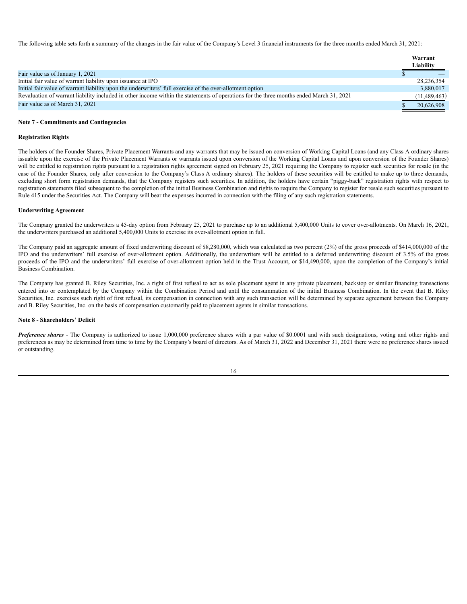The following table sets forth a summary of the changes in the fair value of the Company's Level 3 financial instruments for the three months ended March 31, 2021:

|                                                                                                                                         | Warrant<br>Liability |
|-----------------------------------------------------------------------------------------------------------------------------------------|----------------------|
| Fair value as of January 1, 2021                                                                                                        |                      |
| Initial fair value of warrant liability upon issuance at IPO                                                                            | 28,236,354           |
| Initial fair value of warrant liability upon the underwriters' full exercise of the over-allotment option                               | 3,880,017            |
| Revaluation of warrant liability included in other income within the statements of operations for the three months ended March 31, 2021 | (11, 489, 463)       |
| Fair value as of March 31, 2021                                                                                                         | 20.626.908           |

#### **Note 7 - Commitments and Contingencies**

#### **Registration Rights**

The holders of the Founder Shares, Private Placement Warrants and any warrants that may be issued on conversion of Working Capital Loans (and any Class A ordinary shares issuable upon the exercise of the Private Placement Warrants or warrants issued upon conversion of the Working Capital Loans and upon conversion of the Founder Shares) will be entitled to registration rights pursuant to a registration rights agreement signed on February 25, 2021 requiring the Company to register such securities for resale (in the case of the Founder Shares, only after conversion to the Company's Class A ordinary shares). The holders of these securities will be entitled to make up to three demands, excluding short form registration demands, that the Company registers such securities. In addition, the holders have certain "piggy-back" registration rights with respect to registration statements filed subsequent to the completion of the initial Business Combination and rights to require the Company to register for resale such securities pursuant to Rule 415 under the Securities Act. The Company will bear the expenses incurred in connection with the filing of any such registration statements.

#### **Underwriting Agreement**

The Company granted the underwriters a 45-day option from February 25, 2021 to purchase up to an additional 5,400,000 Units to cover over-allotments. On March 16, 2021, the underwriters purchased an additional 5,400,000 Units to exercise its over-allotment option in full.

The Company paid an aggregate amount of fixed underwriting discount of \$8,280,000, which was calculated as two percent (2%) of the gross proceeds of \$414,000,000 of the IPO and the underwriters' full exercise of over-allotment option. Additionally, the underwriters will be entitled to a deferred underwriting discount of 3.5% of the gross proceeds of the IPO and the underwriters' full exercise of over-allotment option held in the Trust Account, or \$14,490,000, upon the completion of the Company's initial Business Combination.

The Company has granted B. Riley Securities, Inc. a right of first refusal to act as sole placement agent in any private placement, backstop or similar financing transactions entered into or contemplated by the Company within the Combination Period and until the consummation of the initial Business Combination. In the event that B. Riley Securities, Inc. exercises such right of first refusal, its compensation in connection with any such transaction will be determined by separate agreement between the Company and B. Riley Securities, Inc. on the basis of compensation customarily paid to placement agents in similar transactions.

## **Note 8 - Shareholders' Deficit**

*Preference shares* - The Company is authorized to issue 1,000,000 preference shares with a par value of \$0.0001 and with such designations, voting and other rights and preferences as may be determined from time to time by the Company's board of directors. As of March 31, 2022 and December 31, 2021 there were no preference shares issued or outstanding.

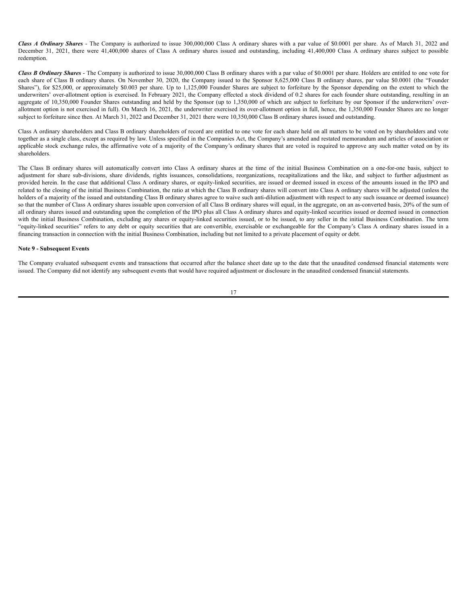*Class A Ordinary Shares* - The Company is authorized to issue 300,000,000 Class A ordinary shares with a par value of \$0.0001 per share. As of March 31, 2022 and December 31, 2021, there were 41,400,000 shares of Class A ordinary shares issued and outstanding, including 41,400,000 Class A ordinary shares subject to possible redemption.

*Class B Ordinary Shares* - The Company is authorized to issue 30,000,000 Class B ordinary shares with a par value of \$0.0001 per share. Holders are entitled to one vote for each share of Class B ordinary shares. On November 30, 2020, the Company issued to the Sponsor 8,625,000 Class B ordinary shares, par value \$0.0001 (the "Founder Shares"), for \$25,000, or approximately \$0.003 per share. Up to 1,125,000 Founder Shares are subject to forfeiture by the Sponsor depending on the extent to which the underwriters' over-allotment option is exercised. In February 2021, the Company effected a stock dividend of 0.2 shares for each founder share outstanding, resulting in an aggregate of 10,350,000 Founder Shares outstanding and held by the Sponsor (up to 1,350,000 of which are subject to forfeiture by our Sponsor if the underwriters' overallotment option is not exercised in full). On March 16, 2021, the underwriter exercised its over-allotment option in full, hence, the 1,350,000 Founder Shares are no longer subject to forfeiture since then. At March 31, 2022 and December 31, 2021 there were 10,350,000 Class B ordinary shares issued and outstanding.

Class A ordinary shareholders and Class B ordinary shareholders of record are entitled to one vote for each share held on all matters to be voted on by shareholders and vote together as a single class, except as required by law. Unless specified in the Companies Act, the Company's amended and restated memorandum and articles of association or applicable stock exchange rules, the affirmative vote of a majority of the Company's ordinary shares that are voted is required to approve any such matter voted on by its shareholders.

The Class B ordinary shares will automatically convert into Class A ordinary shares at the time of the initial Business Combination on a one-for-one basis, subject to adjustment for share sub-divisions, share dividends, rights issuances, consolidations, reorganizations, recapitalizations and the like, and subject to further adjustment as provided herein. In the case that additional Class A ordinary shares, or equity-linked securities, are issued or deemed issued in excess of the amounts issued in the IPO and related to the closing of the initial Business Combination, the ratio at which the Class B ordinary shares will convert into Class A ordinary shares will be adjusted (unless the holders of a majority of the issued and outstanding Class B ordinary shares agree to waive such anti-dilution adjustment with respect to any such issuance or deemed issuance) so that the number of Class A ordinary shares issuable upon conversion of all Class B ordinary shares will equal, in the aggregate, on an as-converted basis, 20% of the sum of all ordinary shares issued and outstanding upon the completion of the IPO plus all Class A ordinary shares and equity-linked securities issued or deemed issued in connection with the initial Business Combination, excluding any shares or equity-linked securities issued, or to be issued, to any seller in the initial Business Combination. The term "equity-linked securities" refers to any debt or equity securities that are convertible, exercisable or exchangeable for the Company's Class A ordinary shares issued in a financing transaction in connection with the initial Business Combination, including but not limited to a private placement of equity or debt.

## **Note 9 - Subsequent Events**

The Company evaluated subsequent events and transactions that occurred after the balance sheet date up to the date that the unaudited condensed financial statements were issued. The Company did not identify any subsequent events that would have required adjustment or disclosure in the unaudited condensed financial statements.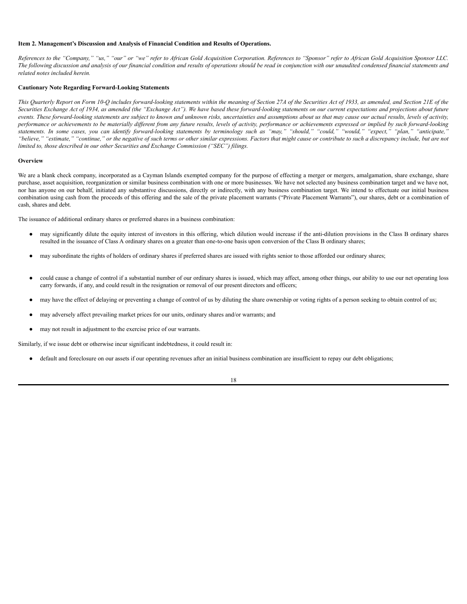### <span id="page-19-0"></span>**Item 2. Management's Discussion and Analysis of Financial Condition and Results of Operations.**

References to the "Company," "us," "our" or "we" refer to African Gold Acquisition Corporation. References to "Sponsor" refer to African Gold Acquisition Sponsor LLC. The following discussion and analysis of our financial condition and results of operations should be read in conjunction with our unaudited condensed financial statements and *related notes included herein.*

## **Cautionary Note Regarding Forward-Looking Statements**

This Quarterly Report on Form 10-Q includes forward-looking statements within the meaning of Section 27A of the Securities Act of 1933, as amended, and Section 21E of the Securities Exchange Act of 1934, as amended (the "Exchange Act"). We have based these forward-looking statements on our current expectations and projections about future events. These forward-looking statements are subject to known and unknown risks, uncertainties and assumptions about us that may cause our actual results, levels of activity, performance or achievements to be materially different from any future results, levels of activity, performance or achievements expressed or implied by such forward-looking statements. In some cases, you can identify forward-looking statements by terminology such as "may," "should," "could," "would," "would," "expect," "plan," "anticipate," "believe," "estimate," "continue," or the negative of such terms or other similar expressions. Factors that might cause or contribute to such a discrepancy include, but are not *limited to, those described in our other Securities and Exchange Commission ("SEC") filings.*

### **Overview**

We are a blank check company, incorporated as a Cayman Islands exempted company for the purpose of effecting a merger or mergers, amalgamation, share exchange, share purchase, asset acquisition, reorganization or similar business combination with one or more businesses. We have not selected any business combination target and we have not, nor has anyone on our behalf, initiated any substantive discussions, directly or indirectly, with any business combination target. We intend to effectuate our initial business combination using cash from the proceeds of this offering and the sale of the private placement warrants ("Private Placement Warrants"), our shares, debt or a combination of cash, shares and debt.

The issuance of additional ordinary shares or preferred shares in a business combination:

- may significantly dilute the equity interest of investors in this offering, which dilution would increase if the anti-dilution provisions in the Class B ordinary shares resulted in the issuance of Class A ordinary shares on a greater than one-to-one basis upon conversion of the Class B ordinary shares;
- may subordinate the rights of holders of ordinary shares if preferred shares are issued with rights senior to those afforded our ordinary shares;
- could cause a change of control if a substantial number of our ordinary shares is issued, which may affect, among other things, our ability to use our net operating loss carry forwards, if any, and could result in the resignation or removal of our present directors and officers;
- may have the effect of delaying or preventing a change of control of us by diluting the share ownership or voting rights of a person seeking to obtain control of us;
- may adversely affect prevailing market prices for our units, ordinary shares and/or warrants; and
- may not result in adjustment to the exercise price of our warrants.

Similarly, if we issue debt or otherwise incur significant indebtedness, it could result in:

default and foreclosure on our assets if our operating revenues after an initial business combination are insufficient to repay our debt obligations;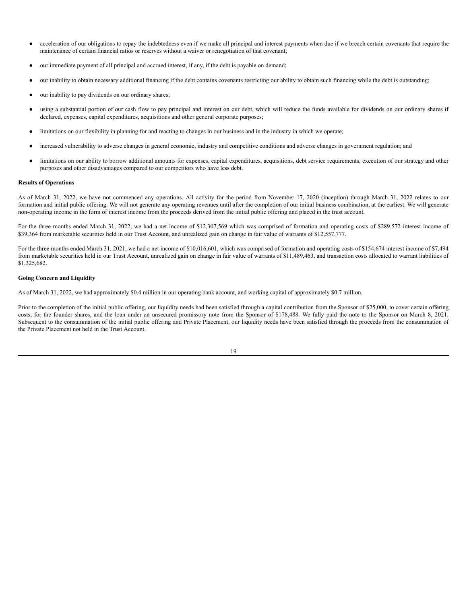- acceleration of our obligations to repay the indebtedness even if we make all principal and interest payments when due if we breach certain covenants that require the maintenance of certain financial ratios or reserves without a waiver or renegotiation of that covenant;
- our immediate payment of all principal and accrued interest, if any, if the debt is payable on demand;
- our inability to obtain necessary additional financing if the debt contains covenants restricting our ability to obtain such financing while the debt is outstanding;
- our inability to pay dividends on our ordinary shares;
- using a substantial portion of our cash flow to pay principal and interest on our debt, which will reduce the funds available for dividends on our ordinary shares if declared, expenses, capital expenditures, acquisitions and other general corporate purposes;
- limitations on our flexibility in planning for and reacting to changes in our business and in the industry in which we operate;
- increased vulnerability to adverse changes in general economic, industry and competitive conditions and adverse changes in government regulation; and
- limitations on our ability to borrow additional amounts for expenses, capital expenditures, acquisitions, debt service requirements, execution of our strategy and other purposes and other disadvantages compared to our competitors who have less debt.

#### **Results of Operations**

As of March 31, 2022, we have not commenced any operations. All activity for the period from November 17, 2020 (inception) through March 31, 2022 relates to our formation and initial public offering. We will not generate any operating revenues until after the completion of our initial business combination, at the earliest. We will generate non-operating income in the form of interest income from the proceeds derived from the initial public offering and placed in the trust account.

For the three months ended March 31, 2022, we had a net income of \$12,307,569 which was comprised of formation and operating costs of \$289,572 interest income of \$39,364 from marketable securities held in our Trust Account, and unrealized gain on change in fair value of warrants of \$12,557,777.

For the three months ended March 31, 2021, we had a net income of \$10,016,601, which was comprised of formation and operating costs of \$154,674 interest income of \$7,494 from marketable securities held in our Trust Account, unrealized gain on change in fair value of warrants of \$11,489,463, and transaction costs allocated to warrant liabilities of \$1,325,682.

## **Going Concern and Liquidity**

As of March 31, 2022, we had approximately \$0.4 million in our operating bank account, and working capital of approximately \$0.7 million.

Prior to the completion of the initial public offering, our liquidity needs had been satisfied through a capital contribution from the Sponsor of \$25,000, to cover certain offering costs, for the founder shares, and the loan under an unsecured promissory note from the Sponsor of \$178,488. We fully paid the note to the Sponsor on March 8, 2021. Subsequent to the consummation of the initial public offering and Private Placement, our liquidity needs have been satisfied through the proceeds from the consummation of the Private Placement not held in the Trust Account.

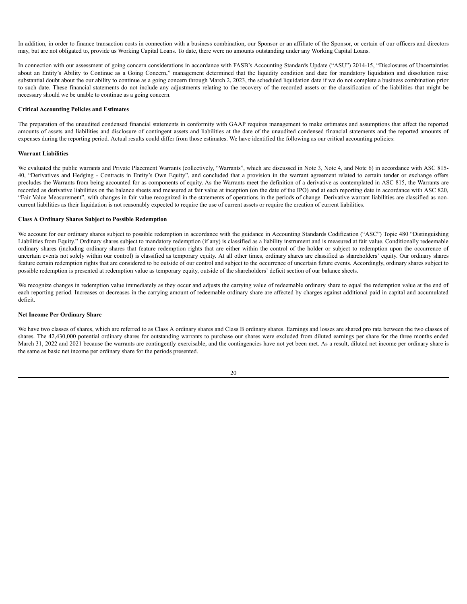In addition, in order to finance transaction costs in connection with a business combination, our Sponsor or an affiliate of the Sponsor, or certain of our officers and directors may, but are not obligated to, provide us Working Capital Loans. To date, there were no amounts outstanding under any Working Capital Loans.

In connection with our assessment of going concern considerations in accordance with FASB's Accounting Standards Update ("ASU") 2014-15, "Disclosures of Uncertainties about an Entity's Ability to Continue as a Going Concern," management determined that the liquidity condition and date for mandatory liquidation and dissolution raise substantial doubt about the our ability to continue as a going concern through March 2, 2023, the scheduled liquidation date if we do not complete a business combination prior to such date. These financial statements do not include any adjustments relating to the recovery of the recorded assets or the classification of the liabilities that might be necessary should we be unable to continue as a going concern.

#### **Critical Accounting Policies and Estimates**

The preparation of the unaudited condensed financial statements in conformity with GAAP requires management to make estimates and assumptions that affect the reported amounts of assets and liabilities and disclosure of contingent assets and liabilities at the date of the unaudited condensed financial statements and the reported amounts of expenses during the reporting period. Actual results could differ from those estimates. We have identified the following as our critical accounting policies:

## **Warrant Liabilities**

We evaluated the public warrants and Private Placement Warrants (collectively, "Warrants", which are discussed in Note 3, Note 4, and Note 6) in accordance with ASC 815-40, "Derivatives and Hedging - Contracts in Entity's Own Equity", and concluded that a provision in the warrant agreement related to certain tender or exchange offers precludes the Warrants from being accounted for as components of equity. As the Warrants meet the definition of a derivative as contemplated in ASC 815, the Warrants are recorded as derivative liabilities on the balance sheets and measured at fair value at inception (on the date of the IPO) and at each reporting date in accordance with ASC 820, "Fair Value Measurement", with changes in fair value recognized in the statements of operations in the periods of change. Derivative warrant liabilities are classified as noncurrent liabilities as their liquidation is not reasonably expected to require the use of current assets or require the creation of current liabilities.

## **Class A Ordinary Shares Subject to Possible Redemption**

We account for our ordinary shares subject to possible redemption in accordance with the guidance in Accounting Standards Codification ("ASC") Topic 480 "Distinguishing Liabilities from Equity." Ordinary shares subject to mandatory redemption (if any) is classified as a liability instrument and is measured at fair value. Conditionally redeemable ordinary shares (including ordinary shares that feature redemption rights that are either within the control of the holder or subject to redemption upon the occurrence of uncertain events not solely within our control) is classified as temporary equity. At all other times, ordinary shares are classified as shareholders' equity. Our ordinary shares feature certain redemption rights that are considered to be outside of our control and subject to the occurrence of uncertain future events. Accordingly, ordinary shares subject to possible redemption is presented at redemption value as temporary equity, outside of the shareholders' deficit section of our balance sheets.

We recognize changes in redemption value immediately as they occur and adjusts the carrying value of redeemable ordinary share to equal the redemption value at the end of each reporting period. Increases or decreases in the carrying amount of redeemable ordinary share are affected by charges against additional paid in capital and accumulated deficit.

#### **Net Income Per Ordinary Share**

We have two classes of shares, which are referred to as Class A ordinary shares and Class B ordinary shares. Earnings and losses are shared pro rata between the two classes of shares. The 42,430,000 potential ordinary shares for outstanding warrants to purchase our shares were excluded from diluted earnings per share for the three months ended March 31, 2022 and 2021 because the warrants are contingently exercisable, and the contingencies have not yet been met. As a result, diluted net income per ordinary share is the same as basic net income per ordinary share for the periods presented.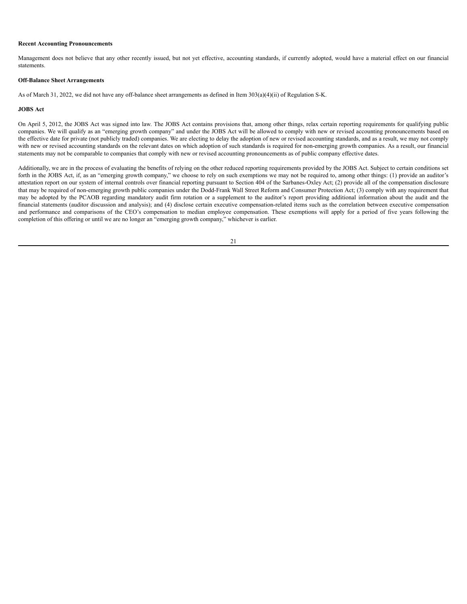#### **Recent Accounting Pronouncements**

Management does not believe that any other recently issued, but not yet effective, accounting standards, if currently adopted, would have a material effect on our financial statements.

### **Off-Balance Sheet Arrangements**

As of March 31, 2022, we did not have any off-balance sheet arrangements as defined in Item 303(a)(4)(ii) of Regulation S-K.

## **JOBS Act**

On April 5, 2012, the JOBS Act was signed into law. The JOBS Act contains provisions that, among other things, relax certain reporting requirements for qualifying public companies. We will qualify as an "emerging growth company" and under the JOBS Act will be allowed to comply with new or revised accounting pronouncements based on the effective date for private (not publicly traded) companies. We are electing to delay the adoption of new or revised accounting standards, and as a result, we may not comply with new or revised accounting standards on the relevant dates on which adoption of such standards is required for non-emerging growth companies. As a result, our financial statements may not be comparable to companies that comply with new or revised accounting pronouncements as of public company effective dates.

Additionally, we are in the process of evaluating the benefits of relying on the other reduced reporting requirements provided by the JOBS Act. Subject to certain conditions set forth in the JOBS Act, if, as an "emerging growth company," we choose to rely on such exemptions we may not be required to, among other things: (1) provide an auditor's attestation report on our system of internal controls over financial reporting pursuant to Section 404 of the Sarbanes-Oxley Act; (2) provide all of the compensation disclosure that may be required of non-emerging growth public companies under the Dodd-Frank Wall Street Reform and Consumer Protection Act; (3) comply with any requirement that may be adopted by the PCAOB regarding mandatory audit firm rotation or a supplement to the auditor's report providing additional information about the audit and the financial statements (auditor discussion and analysis); and (4) disclose certain executive compensation-related items such as the correlation between executive compensation and performance and comparisons of the CEO's compensation to median employee compensation. These exemptions will apply for a period of five years following the completion of this offering or until we are no longer an "emerging growth company," whichever is earlier.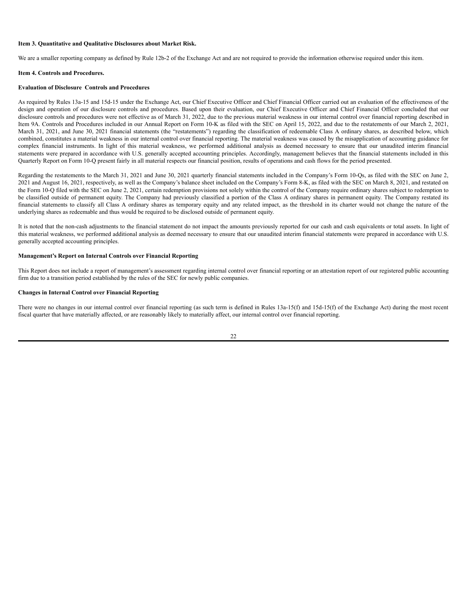#### <span id="page-23-0"></span>**Item 3. Quantitative and Qualitative Disclosures about Market Risk.**

We are a smaller reporting company as defined by Rule 12b-2 of the Exchange Act and are not required to provide the information otherwise required under this item.

#### <span id="page-23-1"></span>**Item 4. Controls and Procedures.**

#### **Evaluation of Disclosure Controls and Procedures**

As required by Rules 13a-15 and 15d-15 under the Exchange Act, our Chief Executive Officer and Chief Financial Officer carried out an evaluation of the effectiveness of the design and operation of our disclosure controls and procedures. Based upon their evaluation, our Chief Executive Officer and Chief Financial Officer concluded that our disclosure controls and procedures were not effective as of March 31, 2022, due to the previous material weakness in our internal control over financial reporting described in Item 9A. Controls and Procedures included in our Annual Report on Form 10-K as filed with the SEC on April 15, 2022, and due to the restatements of our March 2, 2021, March 31, 2021, and June 30, 2021 financial statements (the "restatements") regarding the classification of redeemable Class A ordinary shares, as described below, which combined, constitutes a material weakness in our internal control over financial reporting. The material weakness was caused by the misapplication of accounting guidance for complex financial instruments. In light of this material weakness, we performed additional analysis as deemed necessary to ensure that our unaudited interim financial statements were prepared in accordance with U.S. generally accepted accounting principles. Accordingly, management believes that the financial statements included in this Quarterly Report on Form 10-Q present fairly in all material respects our financial position, results of operations and cash flows for the period presented.

Regarding the restatements to the March 31, 2021 and June 30, 2021 quarterly financial statements included in the Company's Form 10-Qs, as filed with the SEC on June 2, 2021 and August 16, 2021, respectively, as well as the Company's balance sheet included on the Company's Form 8-K, as filed with the SEC on March 8, 2021, and restated on the Form 10-Q filed with the SEC on June 2, 2021, certain redemption provisions not solely within the control of the Company require ordinary shares subject to redemption to be classified outside of permanent equity. The Company had previously classified a portion of the Class A ordinary shares in permanent equity. The Company restated its financial statements to classify all Class A ordinary shares as temporary equity and any related impact, as the threshold in its charter would not change the nature of the underlying shares as redeemable and thus would be required to be disclosed outside of permanent equity.

It is noted that the non-cash adjustments to the financial statement do not impact the amounts previously reported for our cash and cash equivalents or total assets. In light of this material weakness, we performed additional analysis as deemed necessary to ensure that our unaudited interim financial statements were prepared in accordance with U.S. generally accepted accounting principles.

## **Management's Report on Internal Controls over Financial Reporting**

This Report does not include a report of management's assessment regarding internal control over financial reporting or an attestation report of our registered public accounting firm due to a transition period established by the rules of the SEC for newly public companies.

## **Changes in Internal Control over Financial Reporting**

There were no changes in our internal control over financial reporting (as such term is defined in Rules 13a-15(f) and 15d-15(f) of the Exchange Act) during the most recent fiscal quarter that have materially affected, or are reasonably likely to materially affect, our internal control over financial reporting.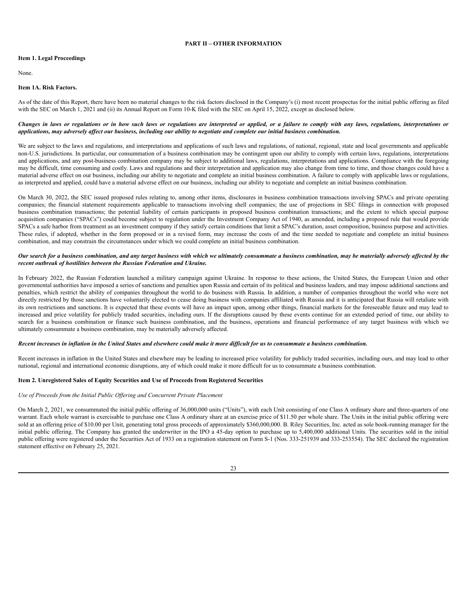## **PART II – OTHER INFORMATION**

## <span id="page-24-1"></span><span id="page-24-0"></span>**Item 1. Legal Proceedings**

None.

## <span id="page-24-2"></span>**Item 1A. Risk Factors.**

As of the date of this Report, there have been no material changes to the risk factors disclosed in the Company's (i) most recent prospectus for the initial public offering as filed with the SEC on March 1, 2021 and (ii) its Annual Report on Form 10-K filed with the SEC on April 15, 2022, except as disclosed below.

## Changes in laws or regulations or in how such laws or regulations are interpreted or applied, or a failure to comply with any laws, regulations, interpretations or applications, may adversely affect our business, including our ability to negotiate and complete our initial business combination.

We are subject to the laws and regulations, and interpretations and applications of such laws and regulations, of national, regional, state and local governments and applicable non-U.S. jurisdictions. In particular, our consummation of a business combination may be contingent upon our ability to comply with certain laws, regulations, interpretations and applications, and any post-business combination company may be subject to additional laws, regulations, interpretations and applications. Compliance with the foregoing may be difficult, time consuming and costly. Laws and regulations and their interpretation and application may also change from time to time, and those changes could have a material adverse effect on our business, including our ability to negotiate and complete an initial business combination. A failure to comply with applicable laws or regulations, as interpreted and applied, could have a material adverse effect on our business, including our ability to negotiate and complete an initial business combination.

On March 30, 2022, the SEC issued proposed rules relating to, among other items, disclosures in business combination transactions involving SPACs and private operating companies; the financial statement requirements applicable to transactions involving shell companies; the use of projections in SEC filings in connection with proposed business combination transactions; the potential liability of certain participants in proposed business combination transactions; and the extent to which special purpose acquisition companies ("SPACs") could become subject to regulation under the Investment Company Act of 1940, as amended, including a proposed rule that would provide SPACs a safe harbor from treatment as an investment company if they satisfy certain conditions that limit a SPAC's duration, asset composition, business purpose and activities. These rules, if adopted, whether in the form proposed or in a revised form, may increase the costs of and the time needed to negotiate and complete an initial business combination, and may constrain the circumstances under which we could complete an initial business combination.

## Our search for a business combination, and any target business with which we ultimately consummate a business combination, may be materially adversely affected by the *recent outbreak of hostilities between the Russian Federation and Ukraine.*

In February 2022, the Russian Federation launched a military campaign against Ukraine. In response to these actions, the United States, the European Union and other governmental authorities have imposed a series of sanctions and penalties upon Russia and certain of its political and business leaders, and may impose additional sanctions and penalties, which restrict the ability of companies throughout the world to do business with Russia. In addition, a number of companies throughout the world who were not directly restricted by those sanctions have voluntarily elected to cease doing business with companies affiliated with Russia and it is anticipated that Russia will retaliate with its own restrictions and sanctions. It is expected that these events will have an impact upon, among other things, financial markets for the foreseeable future and may lead to increased and price volatility for publicly traded securities, including ours. If the disruptions caused by these events continue for an extended period of time, our ability to search for a business combination or finance such business combination, and the business, operations and financial performance of any target business with which we ultimately consummate a business combination, may be materially adversely affected.

#### Recent increases in inflation in the United States and elsewhere could make it more difficult for us to consummate a business combination.

Recent increases in inflation in the United States and elsewhere may be leading to increased price volatility for publicly traded securities, including ours, and may lead to other national, regional and international economic disruptions, any of which could make it more difficult for us to consummate a business combination.

## <span id="page-24-3"></span>**Item 2. Unregistered Sales of Equity Securities and Use of Proceeds from Registered Securities**

#### *Use of Proceeds from the Initial Public Of ering and Concurrent Private Placement*

On March 2, 2021, we consummated the initial public offering of 36,000,000 units ("Units"), with each Unit consisting of one Class A ordinary share and three-quarters of one warrant. Each whole warrant is exercisable to purchase one Class A ordinary share at an exercise price of \$11.50 per whole share. The Units in the initial public offering were sold at an offering price of \$10.00 per Unit, generating total gross proceeds of approximately \$360,000,000. B. Riley Securities, Inc. acted as sole book-running manager for the initial public offering. The Company has granted the underwriter in the IPO a 45-day option to purchase up to 5,400,000 additional Units. The securities sold in the initial public offering were registered under the Securities Act of 1933 on a registration statement on Form S-1 (Nos. 333-251939 and 333-253554). The SEC declared the registration statement effective on February 25, 2021.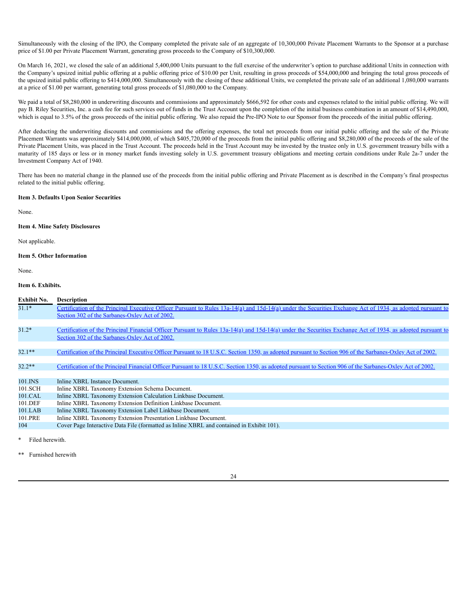Simultaneously with the closing of the IPO, the Company completed the private sale of an aggregate of 10,300,000 Private Placement Warrants to the Sponsor at a purchase price of \$1.00 per Private Placement Warrant, generating gross proceeds to the Company of \$10,300,000.

On March 16, 2021, we closed the sale of an additional 5,400,000 Units pursuant to the full exercise of the underwriter's option to purchase additional Units in connection with the Company's upsized initial public offering at a public offering price of \$10.00 per Unit, resulting in gross proceeds of \$54,000,000 and bringing the total gross proceeds of the upsized initial public offering to \$414,000,000. Simultaneously with the closing of these additional Units, we completed the private sale of an additional 1,080,000 warrants at a price of \$1.00 per warrant, generating total gross proceeds of \$1,080,000 to the Company.

We paid a total of \$8,280,000 in underwriting discounts and commissions and approximately \$666,592 for other costs and expenses related to the initial public offering. We will pay B. Riley Securities, Inc. a cash fee for such services out of funds in the Trust Account upon the completion of the initial business combination in an amount of \$14,490,000, which is equal to 3.5% of the gross proceeds of the initial public offering. We also repaid the Pre-IPO Note to our Sponsor from the proceeds of the initial public offering.

After deducting the underwriting discounts and commissions and the offering expenses, the total net proceeds from our initial public offering and the sale of the Private Placement Warrants was approximately \$414,000,000, of which \$405,720,000 of the proceeds from the initial public offering and \$8,280,000 of the proceeds of the sale of the Private Placement Units, was placed in the Trust Account. The proceeds held in the Trust Account may be invested by the trustee only in U.S. government treasury bills with a maturity of 185 days or less or in money market funds investing solely in U.S. government treasury obligations and meeting certain conditions under Rule 2a-7 under the Investment Company Act of 1940.

There has been no material change in the planned use of the proceeds from the initial public offering and Private Placement as is described in the Company's final prospectus related to the initial public offering.

## <span id="page-25-0"></span>**Item 3. Defaults Upon Senior Securities**

None.

## <span id="page-25-1"></span>**Item 4. Mine Safety Disclosures**

Not applicable.

## <span id="page-25-2"></span>**Item 5. Other Information**

None.

## <span id="page-25-3"></span>**Item 6. Exhibits.**

| Exhibit No. | <b>Description</b>                                                                                                                                                                                             |
|-------------|----------------------------------------------------------------------------------------------------------------------------------------------------------------------------------------------------------------|
| $31.1*$     | Certification of the Principal Executive Officer Pursuant to Rules 13a-14(a) and 15d-14(a) under the Securities Exchange Act of 1934, as adopted pursuant to<br>Section 302 of the Sarbanes-Oxley Act of 2002. |
| $31.2*$     | Certification of the Principal Financial Officer Pursuant to Rules 13a-14(a) and 15d-14(a) under the Securities Exchange Act of 1934, as adopted pursuant to<br>Section 302 of the Sarbanes-Oxley Act of 2002. |
| $32.1**$    | Certification of the Principal Executive Officer Pursuant to 18 U.S.C. Section 1350, as adopted pursuant to Section 906 of the Sarbanes-Oxley Act of 2002.                                                     |
| $32.2**$    | Certification of the Principal Financial Officer Pursuant to 18 U.S.C. Section 1350, as adopted pursuant to Section 906 of the Sarbanes-Oxley Act of 2002.                                                     |
| 101.INS     | Inline XBRL Instance Document.                                                                                                                                                                                 |
| 101.SCH     | Inline XBRL Taxonomy Extension Schema Document.                                                                                                                                                                |
| 101.CAL     | Inline XBRL Taxonomy Extension Calculation Linkbase Document.                                                                                                                                                  |
| 101.DEF     | Inline XBRL Taxonomy Extension Definition Linkbase Document.                                                                                                                                                   |
| $101$ .LAB  | Inline XBRL Taxonomy Extension Label Linkbase Document.                                                                                                                                                        |
| 101.PRE     | Inline XBRL Taxonomy Extension Presentation Linkbase Document.                                                                                                                                                 |
| 104         | Cover Page Interactive Data File (formatted as Inline XBRL and contained in Exhibit 101).                                                                                                                      |

Filed herewith.

Furnished herewith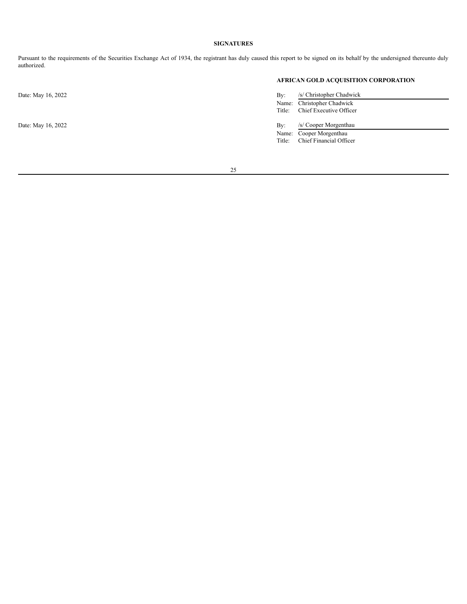## **SIGNATURES**

<span id="page-26-0"></span>Pursuant to the requirements of the Securities Exchange Act of 1934, the registrant has duly caused this report to be signed on its behalf by the undersigned thereunto duly authorized.

Date: May 16, 2022

Date: May 16, 2022

# **AFRICAN GOLD ACQUISITION CORPORATION**

| $\rm\,By:$<br>Title: | /s/ Christopher Chadwick<br>Name: Christopher Chadwick<br>Chief Executive Officer |
|----------------------|-----------------------------------------------------------------------------------|
| $\mathbf{B}v$ :      | /s/ Cooper Morgenthau                                                             |
| Title:               | Name: Cooper Morgenthau<br>Chief Financial Officer                                |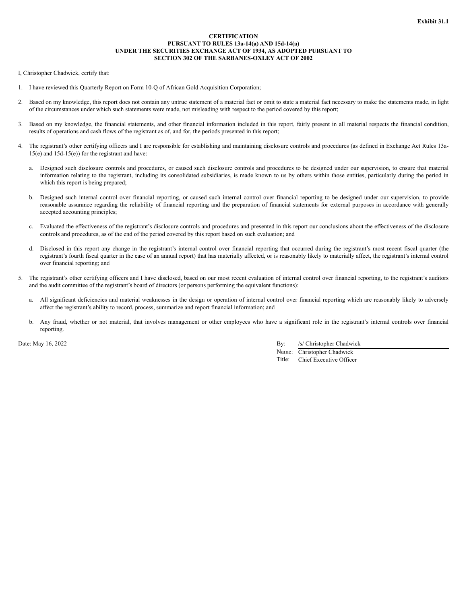## **CERTIFICATION PURSUANT TO RULES 13a-14(a) AND 15d-14(a) UNDER THE SECURITIES EXCHANGE ACT OF 1934, AS ADOPTED PURSUANT TO SECTION 302 OF THE SARBANES-OXLEY ACT OF 2002**

I, Christopher Chadwick, certify that:

- 1. I have reviewed this Quarterly Report on Form 10-Q of African Gold Acquisition Corporation;
- 2. Based on my knowledge, this report does not contain any untrue statement of a material fact or omit to state a material fact necessary to make the statements made, in light of the circumstances under which such statements were made, not misleading with respect to the period covered by this report;
- 3. Based on my knowledge, the financial statements, and other financial information included in this report, fairly present in all material respects the financial condition, results of operations and cash flows of the registrant as of, and for, the periods presented in this report;
- 4. The registrant's other certifying officers and I are responsible for establishing and maintaining disclosure controls and procedures (as defined in Exchange Act Rules 13a-15(e) and 15d-15(e)) for the registrant and have:
	- Designed such disclosure controls and procedures, or caused such disclosure controls and procedures to be designed under our supervision, to ensure that material information relating to the registrant, including its consolidated subsidiaries, is made known to us by others within those entities, particularly during the period in which this report is being prepared;
	- b. Designed such internal control over financial reporting, or caused such internal control over financial reporting to be designed under our supervision, to provide reasonable assurance regarding the reliability of financial reporting and the preparation of financial statements for external purposes in accordance with generally accepted accounting principles;
	- c. Evaluated the effectiveness of the registrant's disclosure controls and procedures and presented in this report our conclusions about the effectiveness of the disclosure controls and procedures, as of the end of the period covered by this report based on such evaluation; and
	- d. Disclosed in this report any change in the registrant's internal control over financial reporting that occurred during the registrant's most recent fiscal quarter (the registrant's fourth fiscal quarter in the case of an annual report) that has materially affected, or is reasonably likely to materially affect, the registrant's internal control over financial reporting; and
- 5. The registrant's other certifying officers and I have disclosed, based on our most recent evaluation of internal control over financial reporting, to the registrant's auditors and the audit committee of the registrant's board of directors (or persons performing the equivalent functions):
	- a. All significant deficiencies and material weaknesses in the design or operation of internal control over financial reporting which are reasonably likely to adversely affect the registrant's ability to record, process, summarize and report financial information; and
	- b. Any fraud, whether or not material, that involves management or other employees who have a significant role in the registrant's internal controls over financial reporting.

Date: May 16, 2022 By: /s/ Christopher Chadwick

Name: Christopher Chadwick Title: Chief Executive Officer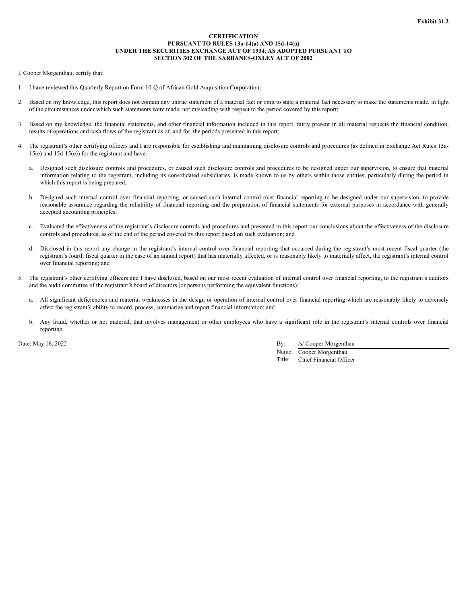## **CERTIFICATION PURSUANT TO RULES 13a-14(a) AND 15d-14(a) UNDER THE SECURITIES EXCHANGE ACT OF 1934, AS ADOPTED PURSUANT TO SECTION 302 OF THE SARBANES-OXLEY ACT OF 2002**

I, Cooper Morgenthau, certify that:

- 1. I have reviewed this Quarterly Report on Form 10-Q of African Gold Acquisition Corporation;
- 2. Based on my knowledge, this report does not contain any untrue statement of a material fact or omit to state a material fact necessary to make the statements made, in light of the circumstances under which such statements were made, not misleading with respect to the period covered by this report;
- 3. Based on my knowledge, the financial statements, and other financial information included in this report, fairly present in all material respects the financial condition, results of operations and cash flows of the registrant as of, and for, the periods presented in this report;
- 4. The registrant's other certifying officers and I are responsible for establishing and maintaining disclosure controls and procedures (as defined in Exchange Act Rules 13a-15(e) and 15d-15(e)) for the registrant and have:
	- Designed such disclosure controls and procedures, or caused such disclosure controls and procedures to be designed under our supervision, to ensure that material information relating to the registrant, including its consolidated subsidiaries, is made known to us by others within those entities, particularly during the period in which this report is being prepared;
	- b. Designed such internal control over financial reporting, or caused such internal control over financial reporting to be designed under our supervision, to provide reasonable assurance regarding the reliability of financial reporting and the preparation of financial statements for external purposes in accordance with generally accepted accounting principles;
	- c. Evaluated the effectiveness of the registrant's disclosure controls and procedures and presented in this report our conclusions about the effectiveness of the disclosure controls and procedures, as of the end of the period covered by this report based on such evaluation; and
	- d. Disclosed in this report any change in the registrant's internal control over financial reporting that occurred during the registrant's most recent fiscal quarter (the registrant's fourth fiscal quarter in the case of an annual report) that has materially affected, or is reasonably likely to materially affect, the registrant's internal control over financial reporting; and
- 5. The registrant's other certifying officers and I have disclosed, based on our most recent evaluation of internal control over financial reporting, to the registrant's auditors and the audit committee of the registrant's board of directors (or persons performing the equivalent functions):
	- a. All significant deficiencies and material weaknesses in the design or operation of internal control over financial reporting which are reasonably likely to adversely affect the registrant's ability to record, process, summarize and report financial information; and
	- b. Any fraud, whether or not material, that involves management or other employees who have a significant role in the registrant's internal controls over financial reporting.

Date: May 16, 2022 By: /s/ Cooper Morgenthau

Name: Cooper Morgenthau Title: Chief Financial Officer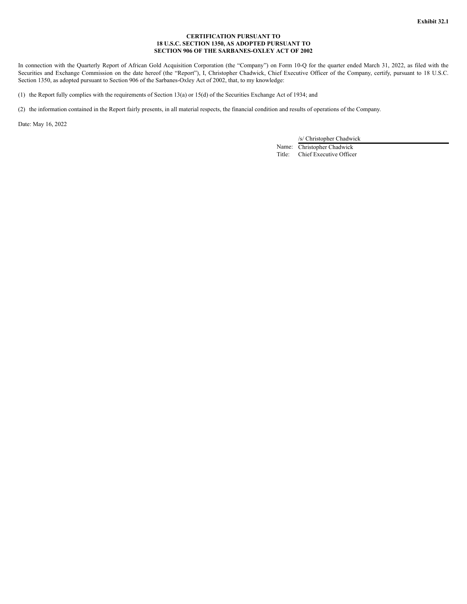## **CERTIFICATION PURSUANT TO 18 U.S.C. SECTION 1350, AS ADOPTED PURSUANT TO SECTION 906 OF THE SARBANES-OXLEY ACT OF 2002**

In connection with the Quarterly Report of African Gold Acquisition Corporation (the "Company") on Form 10-Q for the quarter ended March 31, 2022, as filed with the Securities and Exchange Commission on the date hereof (the "Report"), I, Christopher Chadwick, Chief Executive Officer of the Company, certify, pursuant to 18 U.S.C. Section 1350, as adopted pursuant to Section 906 of the Sarbanes-Oxley Act of 2002, that, to my knowledge:

(1) the Report fully complies with the requirements of Section 13(a) or 15(d) of the Securities Exchange Act of 1934; and

(2) the information contained in the Report fairly presents, in all material respects, the financial condition and results of operations of the Company.

Date: May 16, 2022

/s/ Christopher Chadwick

Name: Christopher Chadwick Title: Chief Executive Officer